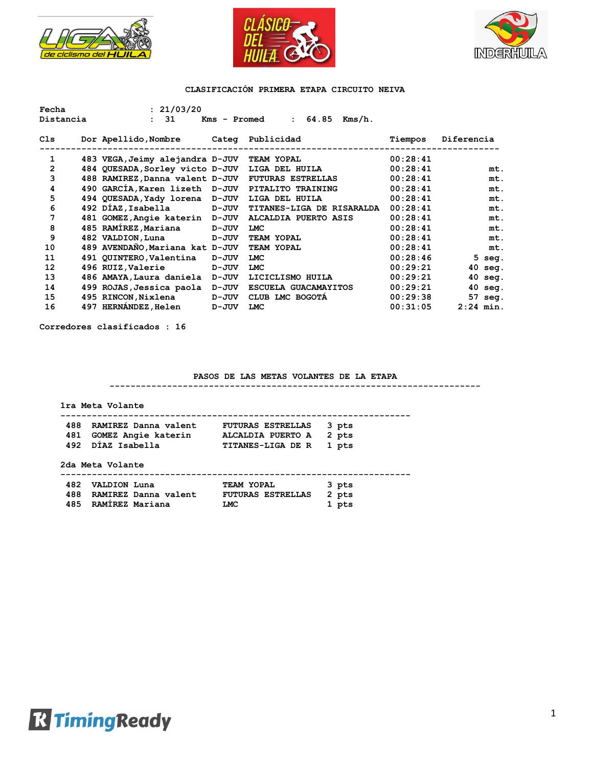





| Fecha          | : 21/03/20                                     |              |                                    |          |            |             |
|----------------|------------------------------------------------|--------------|------------------------------------|----------|------------|-------------|
| Distancia      | 31<br>$\mathbf{L}$                             | Kms - Promed | 64.85<br>$Kms/h$ .<br>$\mathbf{L}$ |          |            |             |
| Cls            | Dor Apellido, Nombre Categ Publicidad          |              |                                    | Tiempos  | Diferencia |             |
| $\mathbf{1}$   | 483 VEGA, Jeimy alejandra D-JUV TEAM YOPAL     |              |                                    | 00:28:41 |            |             |
| $\overline{2}$ | 484 QUESADA, Sorley victo D-JUV LIGA DEL HUILA |              |                                    | 00:28:41 |            | mt.         |
| 3              | 488 RAMIREZ, Danna valent D-JUV                |              | <b>FUTURAS ESTRELLAS</b>           | 00:28:41 |            | mt.         |
| 4              | 490 GARCIA, Karen lizeth D-JUV                 |              | PITALITO TRAINING                  | 00:28:41 |            | mt.         |
| 5              | 494 QUESADA, Yady lorena D-JUV                 |              | LIGA DEL HUILA                     | 00:28:41 |            | mt.         |
| 6              | 492 DIAZ, Isabella D-JUV                       |              | <b>TITANES-LIGA DE RISARALDA</b>   | 00:28:41 |            | mt.         |
| 7              | 481 GOMEZ, Angie katerin D-JUV                 |              | ALCALDIA PUERTO ASIS               | 00:28:41 |            | mt.         |
| 8              | 485 RAMÍREZ, Mariana                           | D-JUV        | <b>LMC</b>                         | 00:28:41 |            | mt.         |
| 9              | 482 VALDION, Luna                              | D-JUV        | TEAM YOPAL                         | 00:28:41 |            | mt.         |
| 10             | 489 AVENDAÑO, Mariana kat D-JUV                |              | TEAM YOPAL                         | 00:28:41 |            | mt.         |
| 11             | 491 QUINTERO, Valentina                        | D-JUV        | <b>LMC</b>                         | 00:28:46 |            | $5$ seg.    |
| 12             | 496 RUIZ, Valerie                              | D-JUV        | <b>LMC</b>                         | 00:29:21 |            | $40$ seg.   |
| 13             | 486 AMAYA, Laura daniela                       | D-JUV        | LICICLISMO HUILA                   | 00:29:21 |            | $40$ seg.   |
| 14             | 499 ROJAS, Jessica paola                       | D-JUV        | ESCUELA GUACAMAYITOS               | 00:29:21 |            | $40$ seg.   |
| 15             | 495 RINCON, Nixlena                            | <b>D-JUV</b> | CLUB LMC BOGOTA                    | 00:29:38 |            | 57 seg.     |
| 16             | 497 HERNÁNDEZ, Helen                           | D-JUV        | <b>LMC</b>                         | 00:31:05 |            | $2:24$ min. |

**Corredores clasificados : 16**

### **PASOS DE LAS METAS VOLANTES DE LA ETAPA**

**-----------------------------------------------------------------------**

|      | 2da Meta Volante        |                          |       |
|------|-------------------------|--------------------------|-------|
|      | 492 DÍAZ Isabella       | <b>TITANES-LIGA DE R</b> | 1 pts |
|      | 481 GOMEZ Angie katerin | ALCALDIA PUERTO A        | 2 pts |
| 488. | RAMIREZ Danna valent    | <b>FUTURAS ESTRELLAS</b> | 3 pts |

| 482 VALDION Luna         | <b>TEAM YOPAL</b>       | 3 pts |
|--------------------------|-------------------------|-------|
| 488 RAMIREZ Danna valent | FUTURAS ESTRELLAS 2 pts |       |
| 485 RAMÍREZ Mariana      | LMC                     | 1 pts |

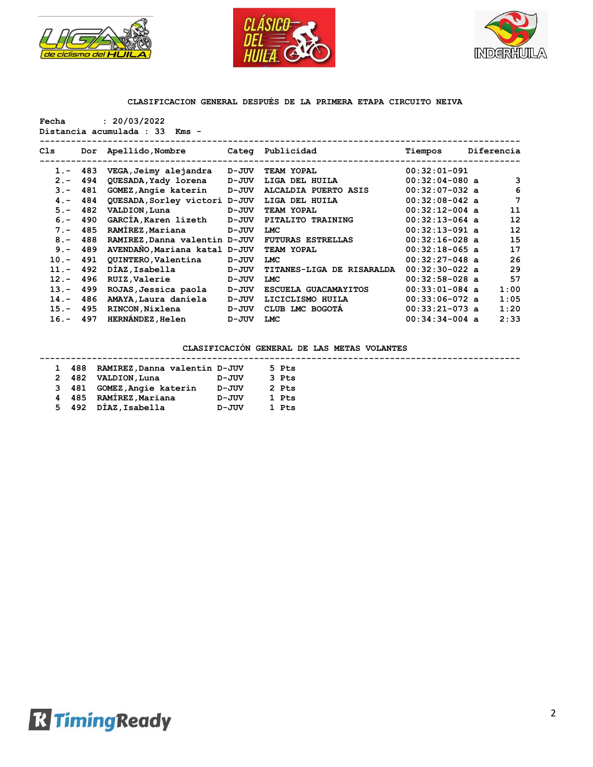





**Fecha : 20/03/2022**

**Distancia acumulada : 33 Kms -**

| Cls     | Dor   | Apellido,Nombre               |           | Categ Publicidad          | Tiempos          | Diferencia |
|---------|-------|-------------------------------|-----------|---------------------------|------------------|------------|
| $1 -$   | - 483 | VEGA, Jeimy alejandra         | D-JUV     | <b>TEAM YOPAL</b>         | $00:32:01-091$   |            |
| $2 -$   | 494   | QUESADA, Yady lorena          | D-JUV     | LIGA DEL HUILA            | $00:32:04-080$ a | 3          |
| $3 -$   | 481   | GOMEZ, Angie katerin          | D-JUV     | ALCALDIA PUERTO ASIS      | $00:32:07-032$ a | 6          |
| $4 -$   | 484   | QUESADA, Sorley victori D-JUV |           | LIGA DEL HUILA            | $00:32:08-042$ a | 7          |
| $5 -$   | 482   | VALDION, Luna                 | $D - JUV$ | TEAM YOPAL                | $00:32:12-004$ a | 11         |
| $6 -$   | 490   | GARCÍA, Karen lizeth          | $D - JUV$ | PITALITO TRAINING         | $00:32:13-064$ a | 12         |
| $7 -$   | 485   | RAMÍREZ, Mariana              | $D - JUV$ | <b>LMC</b>                | $00:32:13-091$ a | 12         |
| $8 -$   | 488   | RAMIREZ, Danna valentin D-JUV |           | <b>FUTURAS ESTRELLAS</b>  | $00:32:16-028$ a | 15         |
| $9 -$   | 489   | AVENDAÑO, Mariana katal D-JUV |           | TEAM YOPAL                | $00:32:18-065$ a | 17         |
| $10. -$ | 491   | QUINTERO, Valentina           | $D - JUV$ | <b>LMC</b>                | $00:32:27-048$ a | 26         |
| $11. -$ | 492   | DIAZ, Isabella                | D-JUV     | TITANES-LIGA DE RISARALDA | $00:32:30-022$ a | 29         |
| $12. -$ | 496   | RUIZ, Valerie                 | $D - JUV$ | <b>LMC</b>                | $00:32:58-028$ a | 57         |
| $13 -$  | 499   | ROJAS, Jessica paola          | D-JUV     | ESCUELA GUACAMAYITOS      | $00:33:01-084$ a | 1:00       |
| $14. -$ | 486   | AMAYA, Laura daniela          | D-JUV     | LICICLISMO HUILA          | $00:33:06-072$ a | 1:05       |
| $15. -$ | 495   | RINCON, Nixlena               | D-JUV     | LMC BOGOTA<br>CLUB        | $00:33:21-073$ a | 1:20       |
| $16. -$ | 497   | <b>HERNANDEZ, Helen</b>       | D-JUV     | LMC                       | $00:34:34-004$ a | 2:33       |
|         |       |                               |           |                           |                  |            |

# **CLASIFICACIÓN GENERAL DE LAS METAS VOLANTES**

#### **--------------------------------------------------------------------------------------------**

| $\mathbf{1}$ | 488 | RAMIREZ, Danna valentin D-JUV |           | 5 Pts   |
|--------------|-----|-------------------------------|-----------|---------|
|              |     | 2 482 VALDION, Luna           | D-JUV     | $3$ Pts |
|              |     | 3 481 GOMEZ, Angie katerin    | $D - JUV$ | 2 Pts   |
|              |     | 4 485 RAMÍREZ, Mariana        | $D - JUV$ | 1 Pts   |
|              |     | 5 492 DÍAZ, Isabella          | $D - JUV$ | 1 Pts   |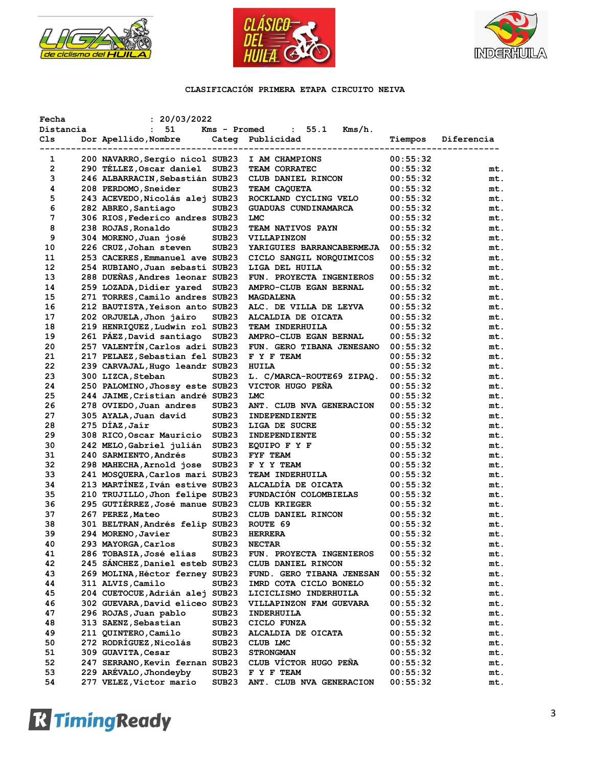





| Fecha     | : 20/03/2022                    |                   |                             |          |            |
|-----------|---------------------------------|-------------------|-----------------------------|----------|------------|
| Distancia | 51<br>$\mathbf{L}$              | Kms - Promed      | : 55.1<br>Kms/h.            |          |            |
| Cls       | Dor Apellido, Nombre Categ      |                   | Publicidad                  | Tiempos  | Diferencia |
|           |                                 |                   | --------------------        |          |            |
| 1         | 200 NAVARRO, Sergio nicol SUB23 |                   | I AM CHAMPIONS              | 00:55:32 |            |
| 2         | 290 TELLEZ, Oscar daniel        | SUB <sub>23</sub> | TEAM CORRATEC               | 00:55:32 | mt.        |
| 3         | 246 ALBARRACIN, Sebastián SUB23 |                   | CLUB DANIEL RINCON          | 00:55:32 | mt.        |
| 4         | 208 PERDOMO, Sneider            | SUB23             | TEAM CAQUETA                | 00:55:32 | mt.        |
| 5         | 243 ACEVEDO, Nicolás alej SUB23 |                   | ROCKLAND CYCLING VELO       | 00:55:32 | mt.        |
| 6         | 282 ABREO, Santiago             | SUB23             | <b>GUADUAS CUNDINAMARCA</b> | 00:55:32 | mt.        |
| 7         | 306 RIOS, Federico andres SUB23 |                   | <b>LMC</b>                  | 00:55:32 | mt.        |
| 8         | 238 ROJAS, Ronaldo              | SUB <sub>23</sub> | <b>TEAM NATIVOS PAYN</b>    | 00:55:32 | mt.        |
| 9         | 304 MORENO, Juan josé           | SUB <sub>23</sub> | VILLAPINZON                 | 00:55:32 | mt.        |
| 10        | 226 CRUZ, Johan steven          | SUB <sub>23</sub> | YARIGUIES BARRANCABERMEJA   | 00:55:32 | mt.        |
| 11        | 253 CACERES, Emmanuel ave SUB23 |                   | CICLO SANGIL NORQUIMICOS    | 00:55:32 | mt.        |
| 12        | 254 RUBIANO, Juan sebasti SUB23 |                   | LIGA DEL HUILA              | 00:55:32 | mt.        |
| 13        | 288 DUEÑAS, Andres leonar SUB23 |                   | FUN. PROYECTA INGENIEROS    | 00:55:32 | mt.        |
|           | 259 LOZADA, Didier yared SUB23  |                   |                             |          |            |
| 14        |                                 |                   | AMPRO-CLUB EGAN BERNAL      | 00:55:32 | mt.        |
| 15        | 271 TORRES, Camilo andres SUB23 |                   | <b>MAGDALENA</b>            | 00:55:32 | mt.        |
| 16        | 212 BAUTISTA, Yeison anto SUB23 |                   | ALC. DE VILLA DE LEYVA      | 00:55:32 | mt.        |
| 17        | 202 ORJUELA, Jhon jairo         | SUB <sub>23</sub> | ALCALDIA DE OICATA          | 00:55:32 | mt.        |
| 18        | 219 HENRIQUEZ, Ludwin rol SUB23 |                   | <b>TEAM INDERHUILA</b>      | 00:55:32 | mt.        |
| 19        | 261 PÁEZ, David santiago SUB23  |                   | AMPRO-CLUB EGAN BERNAL      | 00:55:32 | mt.        |
| 20        | 257 VALENTÍN, Carlos adri SUB23 |                   | FUN. GERO TIBANA JENESANO   | 00:55:32 | mt.        |
| 21        | 217 PELAEZ, Sebastian fel SUB23 |                   | F Y F TEAM                  | 00:55:32 | mt.        |
| 22        | 239 CARVAJAL, Hugo leandr SUB23 |                   | HUILA                       | 00:55:32 | mt.        |
| 23        | 300 LIZCA, Steban               | SUB <sub>23</sub> | L. C/MARCA-ROUTE69 ZIPAQ.   | 00:55:32 | mt.        |
| 24        | 250 PALOMINO, Jhossy este SUB23 |                   | VICTOR HUGO PEÑA            | 00:55:32 | mt.        |
| 25        | 244 JAIME, Cristian andré SUB23 |                   | <b>LMC</b>                  | 00:55:32 | mt.        |
| 26        | 278 OVIEDO, Juan andres         | SUB <sub>23</sub> | ANT. CLUB NVA GENERACION    | 00:55:32 | mt.        |
| 27        | 305 AYALA, Juan david           | SUB <sub>23</sub> | INDEPENDIENTE               | 00:55:32 | mt.        |
| 28        | 275 DÍAZ, Jaír                  | SUB <sub>23</sub> | LIGA DE SUCRE               | 00:55:32 | mt.        |
| 29        | 308 RICO, Oscar Mauricio SUB23  |                   | INDEPENDIENTE               | 00:55:32 | mt.        |
| 30        | 242 MELO, Gabriel julián SUB23  |                   | EQUIPO F Y F                | 00:55:32 | mt.        |
| 31        | 240 SARMIENTO, Andrés           | SUB <sub>23</sub> | <b>FYF TEAM</b>             | 00:55:32 | mt.        |
| 32        | 298 MAHECHA, Arnold jose        | SUB <sub>23</sub> | F Y Y TEAM                  | 00:55:32 | mt.        |
| 33        | 241 MOSQUERA, Carlos mari SUB23 |                   | TEAM INDERHUILA             | 00:55:32 | mt.        |
| 34        | 213 MARTINEZ, Iván estive SUB23 |                   | ALCALDIA DE OICATA          | 00:55:32 | mt.        |
| 35        | 210 TRUJILLO, Jhon felipe SUB23 |                   | FUNDACIÓN COLOMBIELAS       | 00:55:32 | mt.        |
| 36        | 295 GUTIÉRREZ, José manue SUB23 |                   | <b>CLUB KRIEGER</b>         | 00:55:32 | mt.        |
| 37        | 267 PEREZ, Mateo                | SUB <sub>23</sub> | CLUB DANIEL RINCON          | 00:55:32 | mt.        |
| 38        | 301 BELTRAN, Andrés felip SUB23 |                   | ROUTE 69                    | 00:55:32 | mt.        |
| 39        | 294 MORENO, Javier              | SUB23             | <b>HERRERA</b>              | 00:55:32 | mt.        |
| 40        | 293 MAYORGA, Carlos             | SUB <sub>23</sub> | <b>NECTAR</b>               | 00:55:32 | mt.        |
| 41        | 286 TOBASIA, José elias         | SUB <sub>23</sub> | FUN. PROYECTA INGENIEROS    | 00:55:32 | mt.        |
| 42        | 245 SANCHEZ, Daniel esteb SUB23 |                   | CLUB DANIEL RINCON          | 00:55:32 | mt.        |
| 43        | 269 MOLINA, Héctor ferney SUB23 |                   |                             |          | mt.        |
|           |                                 |                   | FUND. GERO TIBANA JENESAN   | 00:55:32 |            |
| 44        | 311 ALVIS, Camilo               | SUB23             | IMRD COTA CICLO BONELO      | 00:55:32 | mt.        |
| 45        | 204 CUETOCUE, Adrián alej SUB23 |                   | LICICLISMO INDERHUILA       | 00:55:32 | mt.        |
| 46        | 302 GUEVARA, David eliceo SUB23 |                   | VILLAPINZON FAM GUEVARA     | 00:55:32 | mt.        |
| 47        | 296 ROJAS, Juan pablo           | SUB <sub>23</sub> | INDERHUILA                  | 00:55:32 | mt.        |
| 48        | 313 SAENZ, Sebastian            | SUB <sub>23</sub> | CICLO FUNZA                 | 00:55:32 | mt.        |
| 49        | 211 QUINTERO, Camilo            | SUB <sub>23</sub> | ALCALDIA DE OICATA          | 00:55:32 | mt.        |
| 50        | 272 RODRÍGUEZ, Nicolás          | SUB <sub>23</sub> | CLUB LMC                    | 00:55:32 | mt.        |
| 51        | 309 GUAVITA, Cesar              | SUB <sub>23</sub> | <b>STRONGMAN</b>            | 00:55:32 | mt.        |
| 52        | 247 SERRANO, Kevin fernan SUB23 |                   | CLUB VÍCTOR HUGO PEÑA       | 00:55:32 | mt.        |
| 53        | 229 ARÉVALO, Jhondeyby          | SUB23             | F Y F TEAM                  | 00:55:32 | mt.        |
| 54        | 277 VELEZ, Victor mario         | SUB <sub>23</sub> | ANT. CLUB NVA GENERACION    | 00:55:32 | mt.        |

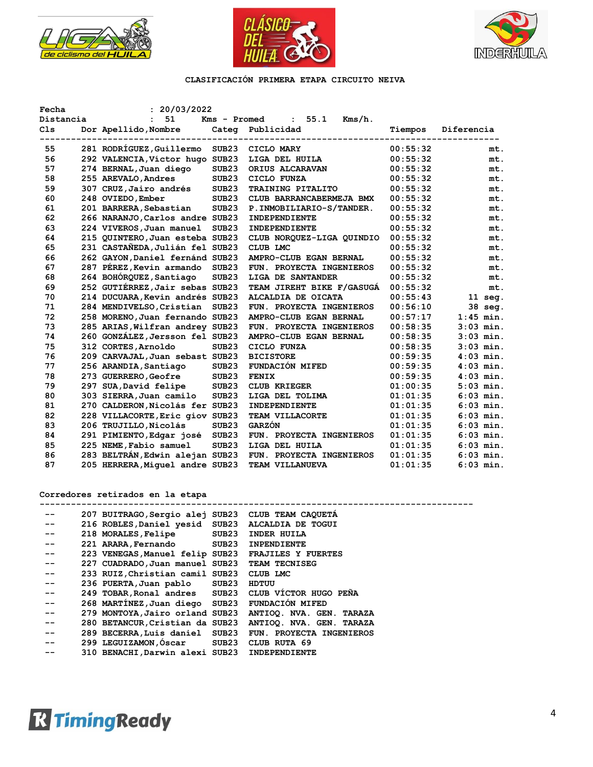





| Fecha<br>Distancia | : 20/03/2022<br>51              | Kms - Promed      | 55.1                          |          |             |
|--------------------|---------------------------------|-------------------|-------------------------------|----------|-------------|
| C <sub>1s</sub>    | Dor Apellido, Nombre            |                   | $Kms/h$ .<br>Categ Publicidad | Tiempos  | Diferencia  |
| 55                 | 281 RODRÍGUEZ, Guillermo        | SUB <sub>23</sub> | CICLO MARY                    | 00:55:32 | mt.         |
| 56                 | 292 VALENCIA, Víctor hugo SUB23 |                   | LIGA DEL HUILA                | 00:55:32 | mt.         |
| 57                 | 274 BERNAL, Juan diego          | SUB <sub>23</sub> | ORIUS ALCARAVAN               | 00:55:32 | mt.         |
| 58                 | 255 AREVALO, Andres             | SUB <sub>23</sub> | CICLO FUNZA                   | 00:55:32 | mt.         |
| 59                 | 307 CRUZ, Jairo andrés          | SUB <sub>23</sub> | TRAINING PITALITO             | 00:55:32 | mt.         |
| 60                 | 248 OVIEDO, Ember               | SUB <sub>23</sub> | CLUB BARRANCABERMEJA BMX      | 00:55:32 | mt.         |
| 61                 | 201 BARRERA, Sebastian          | SUB <sub>23</sub> | P. INMOBILIARIO-S/TANDER.     | 00:55:32 | mt.         |
| 62                 | 266 NARANJO, Carlos andre SUB23 |                   | <b>INDEPENDIENTE</b>          | 00:55:32 | mt.         |
| 63                 | 224 VIVEROS, Juan manuel        | SUB <sub>23</sub> | <b>INDEPENDIENTE</b>          | 00:55:32 | mt.         |
| 64                 | 215 QUINTERO, Juan esteba SUB23 |                   | CLUB NORQUEZ-LIGA QUINDIO     | 00:55:32 | mt.         |
| 65                 | 231 CASTAÑEDA, Julián fel SUB23 |                   | CLUB LMC                      | 00:55:32 | mt.         |
| 66                 | 262 GAYON, Daniel fernánd SUB23 |                   | AMPRO-CLUB EGAN BERNAL        | 00:55:32 | mt.         |
| 67                 | 287 PÉREZ, Kevin armando        | SUB23             | FUN. PROYECTA INGENIEROS      | 00:55:32 | mt.         |
| 68                 | 264 BOHÓRQUEZ, Santiago         | SUB <sub>23</sub> | LIGA DE SANTANDER             | 00:55:32 | mt.         |
| 69                 | 252 GUTIÉRREZ, Jair sebas SUB23 |                   | TEAM JIREHT BIKE F/GASUGA     | 00:55:32 | mt.         |
| 70                 | 214 DUCUARA, Kevin andrés SUB23 |                   | ALCALDIA DE OICATA            | 00:55:43 | $11$ seg.   |
| 71                 | 284 MENDIVELSO, Cristian        | SUB <sub>23</sub> | FUN. PROYECTA INGENIEROS      | 00:56:10 | 38 seg.     |
| 72                 | 258 MORENO, Juan fernando SUB23 |                   | AMPRO-CLUB EGAN BERNAL        | 00:57:17 | $1:45$ min. |
| 73                 | 285 ARIAS, Wilfran andrey SUB23 |                   | FUN. PROYECTA INGENIEROS      | 00:58:35 | $3:03$ min. |
| 74                 | 260 GONZÁLEZ, Jersson fel SUB23 |                   | AMPRO-CLUB EGAN BERNAL        | 00:58:35 | $3:03$ min. |
| 75                 | 312 CORTES, Arnoldo             | SUB <sub>23</sub> | CICLO FUNZA                   | 00:58:35 | $3:03$ min. |
| 76                 | 209 CARVAJAL, Juan sebast SUB23 |                   | <b>BICISTORE</b>              | 00:59:35 | $4:03$ min. |
| 77                 | 256 ARANDIA, Santiago           | SUB <sub>23</sub> | FUNDACIÓN MIFED               | 00:59:35 | $4:03$ min. |
| 78                 | 273 GUERRERO, Geofre            | SUB <sub>23</sub> | <b>FENIX</b>                  | 00:59:35 | $4:03$ min. |
| 79                 | 297 SUA, David felipe           | SUB <sub>23</sub> | <b>CLUB KRIEGER</b>           | 01:00:35 | $5:03$ min. |
| 80                 | 303 SIERRA, Juan camilo         | SUB <sub>23</sub> | LIGA DEL TOLIMA               | 01:01:35 | $6:03$ min. |
| 81                 | 270 CALDERON, Nicolás fer SUB23 |                   | INDEPENDIENTE                 | 01:01:35 | $6:03$ min. |
| 82                 | 228 VILLACORTE, Eric giov SUB23 |                   | TEAM VILLACORTE               | 01:01:35 | $6:03$ min. |
| 83                 | 206 TRUJILLO, Nicolás           | SUB <sub>23</sub> | <b>GARZÓN</b>                 | 01:01:35 | $6:03$ min. |
| 84                 | 291 PIMIENTO, Edgar josé        | SUB <sub>23</sub> | FUN. PROYECTA INGENIEROS      | 01:01:35 | $6:03$ min. |
| 85                 | 225 NEME, Fabio samuel          | SUB <sub>23</sub> | LIGA DEL HUILA                | 01:01:35 | $6:03$ min. |
| 86                 | 283 BELTRÁN, Edwin alejan SUB23 |                   | FUN. PROYECTA INGENIEROS      | 01:01:35 | $6:03$ min. |
| 87                 | 205 HERRERA, Miguel andre SUB23 |                   | <b>TEAM VILLANUEVA</b>        | 01:01:35 | $6:03$ min. |

**Corredores retirados en la etapa**

|       | 207 BUITRAGO, Sergio alej SUB23 CLUB TEAM CAQUETA |                   |                           |
|-------|---------------------------------------------------|-------------------|---------------------------|
| --    | 216 ROBLES, Daniel yesid SUB23                    |                   | <b>ALCALDIA DE TOGUI</b>  |
| --    | 218 MORALES, Felipe                               | SUB23             | INDER HUILA               |
| --    | 221 ARARA, Fernando                               | SUB23             | <b>INPENDIENTE</b>        |
| --    | 223 VENEGAS, Manuel felip SUB23                   |                   | <b>FRAJILES Y FUERTES</b> |
| --    | 227 CUADRADO, Juan manuel SUB23                   |                   | <b>TEAM TECNISEG</b>      |
| --    | 233 RUIZ, Christian camil SUB23                   |                   | CLUB LMC                  |
| $- -$ | 236 PUERTA,Juan pablo                             | SUB <sub>23</sub> | HDTUU                     |
| --    | 249 TOBAR, Ronal andres SUB23                     |                   | CLUB VÍCTOR HUGO PEÑA     |
| $- -$ | 268 MARTINEZ, Juan diego SUB23                    |                   | <b>FUNDACIÓN MIFED</b>    |
| --    | 279 MONTOYA, Jairo orland SUB23                   |                   | ANTIOO. NVA. GEN. TARAZA  |
| --    | 280 BETANCUR, Cristian da SUB23                   |                   | ANTIOO. NVA. GEN. TARAZA  |
| --    | 289 BECERRA, Luis daniel SUB23                    |                   | FUN. PROYECTA INGENIEROS  |
| $- -$ | 299 LEGUIZAMON, Óscar SUB23                       |                   | CLUB RUTA 69              |
|       | 310 BENACHI, Darwin alexi SUB23                   |                   | INDEPENDIENTE             |

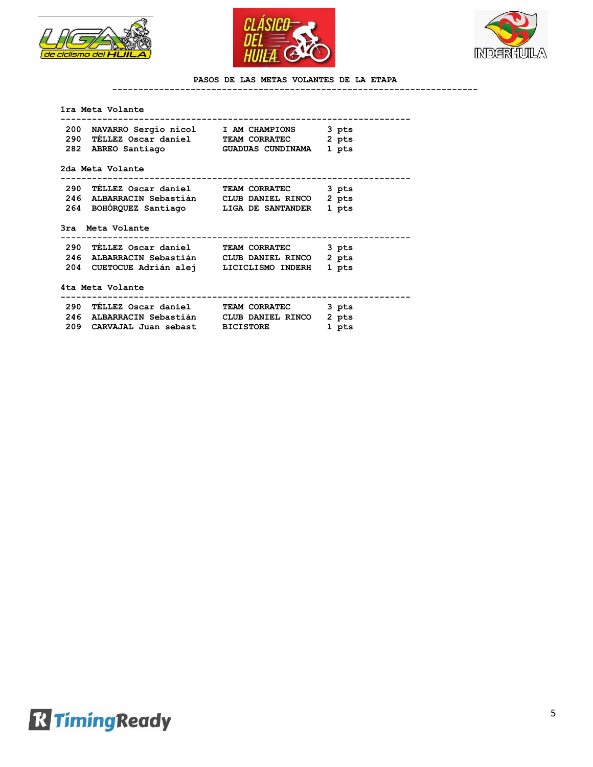





## **PASOS DE LAS METAS VOLANTES DE LA ETAPA**

**----------------------------------------------------------------------**

#### **1ra Meta Volante**

| 200 NAVARRO Sergio nicol 1 AM CHAMPIONS            |                      | 3 pts |
|----------------------------------------------------|----------------------|-------|
| 290 TÉLLEZ Oscar daniel         TEAM CORRATEC      |                      | 2 pts |
| 282 ABREO Santiago               GUADUAS CUNDINAMA |                      | 1 pts |
| 2da Meta Volante                                   |                      |       |
|                                                    |                      | 3 pts |
|                                                    |                      |       |
| 246 ALBARRACIN Sebastián CLUB DANIEL RINCO         |                      | 2 pts |
| 264 BOHORQUEZ Santiago LIGA DE SANTANDER           |                      | 1 pts |
| 3ra Meta Volante                                   |                      |       |
| 290 TELLEZ Oscar daniel                            | <b>TEAM CORRATEC</b> | 3 pts |
| 246 ALBARRACIN Sebastián CLUB DANIEL RINCO         |                      | 2 pts |

 **290 TÉLLEZ Oscar daniel TEAM CORRATEC 3 pts 246 ALBARRACIN Sebastián CLUB DANIEL RINCO 2 pts** 

|  | 209 CARVAJAL Juan sebast |  | <b>BICISTORE</b> |  | 1 pts |
|--|--------------------------|--|------------------|--|-------|
|--|--------------------------|--|------------------|--|-------|

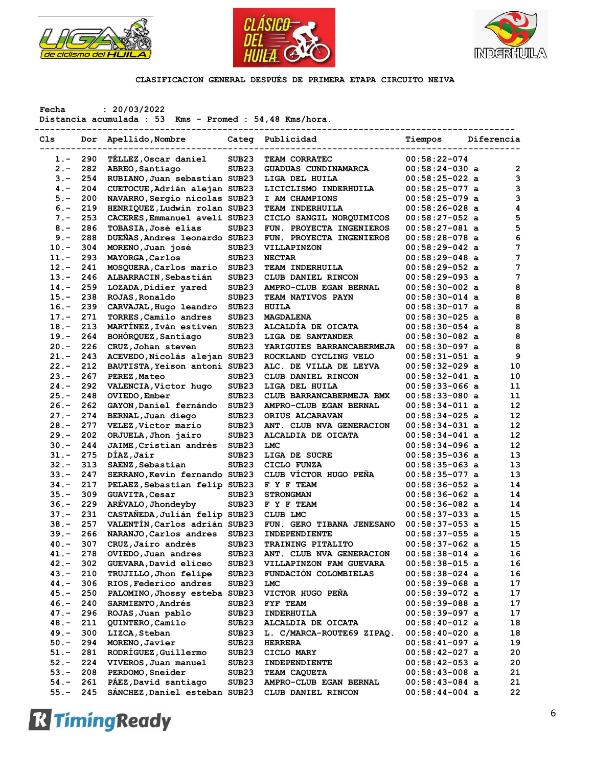





**Fecha : 20/03/2022**

**Distancia acumulada : 53 Kms - Promed : 54,48 Kms/hora.**

| Cls     | Dor | Apellido, Nombre              |                   | Categ Publicidad               | Tiempos          | Diferencia |                         |
|---------|-----|-------------------------------|-------------------|--------------------------------|------------------|------------|-------------------------|
| $1. -$  | 290 | TÉLLEZ, Oscar daniel          | SUB <sub>23</sub> | TEAM CORRATEC                  | $00:58:22-074$   |            |                         |
| $2 -$   | 282 | ABREO, Santiago               | SUB <sub>23</sub> | GUADUAS CUNDINAMARCA           | $00:58:24-030$ a |            | $\overline{\mathbf{2}}$ |
| $3 -$   | 254 | RUBIANO, Juan sebastian SUB23 |                   | LIGA DEL HUILA                 | $00:58:25-022$ a |            | 3                       |
| $4. -$  | 204 | CUETOCUE, Adrián alejan SUB23 |                   | LICICLISMO INDERHUILA          | $00:58:25-077$ a |            | 3                       |
| $5. -$  | 200 | NAVARRO, Sergio nicolas SUB23 |                   | I AM CHAMPIONS                 | $00:58:25-079$ a |            | 3                       |
| $6. -$  | 219 | HENRIQUEZ, Ludwin rolan SUB23 |                   | TEAM INDERHUILA                | $00:58:26-028$ a |            | 4                       |
| $7 -$   | 253 | CACERES, Emmanuel aveli SUB23 |                   | CICLO SANGIL NORQUIMICOS       | $00:58:27-052$ a |            | 5                       |
| $8 -$   | 286 | TOBASIA, José elías           | SUB <sub>23</sub> | FUN. PROYECTA INGENIEROS       | $00:58:27-081$ a |            | 5                       |
| $9 -$   | 288 | DUEÑAS, Andres leonardo SUB23 |                   | FUN. PROYECTA INGENIEROS       | $00:58:28-078$ a |            | 6                       |
| $10. -$ | 304 | MORENO, Juan josé             | SUB <sub>23</sub> | VILLAPINZON                    | $00:58:29-042$ a |            | 7                       |
| $11. -$ | 293 | MAYORGA, Carlos               | SUB <sub>23</sub> | <b>NECTAR</b>                  | $00:58:29-048$ a |            | 7                       |
| $12 -$  | 241 |                               |                   |                                |                  |            | 7                       |
|         |     | MOSQUERA, Carlos mario        | SUB <sub>23</sub> | TEAM INDERHUILA                | $00:58:29-052$ a |            |                         |
| $13. -$ | 246 | ALBARRACIN, Sebastián         | SUB <sub>23</sub> | CLUB DANIEL RINCON             | $00:58:29-093$ a |            | 7                       |
| $14. -$ | 259 | LOZADA, Didier yared          | SUB <sub>23</sub> | AMPRO-CLUB EGAN BERNAL         | $00:58:30-002$ a |            | 8                       |
| $15. -$ | 238 | ROJAS, Ronaldo                | SUB <sub>23</sub> | TEAM NATIVOS PAYN              | $00:58:30-014$ a |            | 8                       |
| $16. -$ | 239 | CARVAJAL, Hugo leandro        | SUB <sub>23</sub> | HUILA                          | $00:58:30-017$ a |            | 8                       |
| $17. -$ | 271 | TORRES, Camilo andres         | SUB <sub>23</sub> | <b>MAGDALENA</b>               | $00:58:30-025$ a |            | 8                       |
| $18. -$ | 213 | MARTÍNEZ, Iván estiven        | SUB <sub>23</sub> | ALCALDÍA DE OICATA             | $00:58:30-054$ a |            | 8                       |
| $19. -$ | 264 | BOHÓRQUEZ, Santiago           | SUB <sub>23</sub> | LIGA DE SANTANDER              | $00:58:30-082$ a |            | 8                       |
| $20 -$  | 226 | CRUZ, Johan steven            | SUB23             | YARIGUIES BARRANCABERMEJA      | $00:58:30-097$ a |            | 8                       |
| $21. -$ | 243 | ACEVEDO, Nicolás alejan SUB23 |                   | ROCKLAND CYCLING VELO          | $00:58:31-051$ a |            | 9                       |
| $22 -$  | 212 | BAUTISTA, Yeison antoni SUB23 |                   | ALC. DE VILLA DE LEYVA         | $00:58:32-029$ a |            | 10                      |
| $23 -$  | 267 | PEREZ, Mateo                  | SUB <sub>23</sub> | CLUB DANIEL RINCON             | $00:58:32-041$ a |            | 10                      |
| $24. -$ | 292 | VALENCIA, Víctor hugo         | SUB <sub>23</sub> | LIGA DEL HUILA                 | $00:58:33-066$ a |            | 11                      |
| $25. -$ | 248 | OVIEDO, Ember                 | SUB <sub>23</sub> | CLUB BARRANCABERMEJA BMX       | $00:58:33-080$ a |            | 11                      |
| $26. -$ | 262 | GAYON, Daniel fernándo        | SUB <sub>23</sub> | AMPRO-CLUB EGAN BERNAL         | $00:58:34-011$ a |            | 12                      |
| $27. -$ | 274 | BERNAL, Juan diego            | SUB <sub>23</sub> | ORIUS ALCARAVAN                | $00:58:34-025$ a |            | 12                      |
| $28. -$ | 277 | VELEZ, Victor mario           | SUB <sub>23</sub> | ANT. CLUB NVA GENERACION       | $00:58:34-031$ a |            | 12                      |
| $29. -$ | 202 | ORJUELA, Jhon jairo           | SUB <sub>23</sub> | ALCALDIA DE OICATA             | $00:58:34-041$ a |            | 12                      |
| $30 -$  | 244 | JAIME, Cristian andrés        | SUB <sub>23</sub> | <b>LMC</b>                     | $00:58:34-096$ a |            | 12                      |
| $31 -$  | 275 | DÍAZ, Jaír                    | SUB <sub>23</sub> | LIGA DE SUCRE                  | $00:58:35-036$ a |            | 13                      |
| $32 -$  | 313 | SAENZ, Sebastian              | SUB <sub>23</sub> | CICLO FUNZA                    | $00:58:35-063$ a |            | 13                      |
| $33 -$  | 247 | SERRANO, Kevin fernando SUB23 |                   | CLUB VÍCTOR HUGO PEÑA          | $00:58:35-077$ a |            | 13                      |
| $34. -$ | 217 | PELAEZ, Sebastian felip SUB23 |                   | F Y F TEAM                     | $00:58:36-052$ a |            | 14                      |
| $35. -$ | 309 | <b>GUAVITA, Cesar</b>         | SUB <sub>23</sub> | <b>STRONGMAN</b>               | $00:58:36-062$ a |            | 14                      |
| $36. -$ | 229 | ARÉVALO, Jhondeyby            | SUB <sub>23</sub> | F Y F TEAM                     | $00:58:36-082$ a |            | 14                      |
| $37. -$ | 231 | CASTAÑEDA, Julián felip SUB23 |                   | CLUB LMC                       | $00:58:37-033$ a |            | 15                      |
| $38 -$  | 257 | VALENTÍN, Carlos adrián SUB23 |                   | FUN. GERO TIBANA JENESANO      | $00:58:37-053$ a |            | 15                      |
| $39. -$ | 266 | NARANJO, Carlos andres        | SUB <sub>23</sub> | INDEPENDIENTE                  | $00:58:37-055$ a |            | 15                      |
| $40. -$ | 307 |                               | SUB <sub>23</sub> | TRAINING PITALITO              | $00:58:37-062$ a |            | 15                      |
|         | 278 | CRUZ, Jairo andrés            |                   |                                |                  |            | 16                      |
| $41. -$ |     | OVIEDO, Juan andres           | SUB <sub>23</sub> | ANT. CLUB NVA GENERACION       | $00:58:38-014$ a |            |                         |
| $42 -$  | 302 | GUEVARA, David eliceo         | SUB23             | <b>VILLAPINZON FAM GUEVARA</b> | $00:58:38-015$ a |            | 16                      |
| $43.-$  | 210 | TRUJILLO, Jhon felipe         | SUB23             | FUNDACIÓN COLOMBIELAS          | 00:58:38-024 a   |            | 16                      |
| $44. -$ | 306 | RIOS, Federico andres         | SUB <sub>23</sub> | LMC                            | $00:58:39-068$ a |            | 17                      |
| $45. -$ | 250 | PALOMINO, Jhossy esteba SUB23 |                   | VICTOR HUGO PENA               | 00:58:39-072 a   |            | 17                      |
| $46. -$ | 240 | <b>SARMIENTO, Andrés</b>      | SUB23             | FYF TEAM                       | $00:58:39-088$ a |            | 17                      |
| $47. -$ | 296 | ROJAS, Juan pablo             | SUB23             | INDERHUILA                     | 00:58:39-097 a   |            | 17                      |
| $48. -$ | 211 | QUINTERO, Camilo              | SUB <sub>23</sub> | ALCALDIA DE OICATA             | $00:58:40-012$ a |            | 18                      |
| $49. -$ | 300 | LIZCA, Steban                 | SUB <sub>23</sub> | L. C/MARCA-ROUTE69 ZIPAQ.      | 00:58:40-020 a   |            | 18                      |
| $50. -$ | 294 | MORENO, Javier                | SUB23             | <b>HERRERA</b>                 | $00:58:41-097$ a |            | 19                      |
| $51. -$ | 281 | RODRÍGUEZ, Guillermo          | SUB23             | CICLO MARY                     | 00:58:42-027 a   |            | 20                      |
| $52 -$  | 224 | VIVEROS, Juan manuel          | SUB23             | INDEPENDIENTE                  | 00:58:42-053 a   |            | 20                      |
| $53. -$ | 208 | PERDOMO, Sneider              | SUB <sub>23</sub> | <b>TEAM CAQUETA</b>            | 00:58:43-008 a   |            | 21                      |
| $54. -$ | 261 | PAEZ, David santiago          | SUB <sub>23</sub> | AMPRO-CLUB EGAN BERNAL         | $00:58:43-084$ a |            | 21                      |
| $55. -$ | 245 | SÁNCHEZ, Daniel esteban SUB23 |                   | CLUB DANIEL RINCON             | $00:58:44-004$ a |            | 22                      |
|         |     |                               |                   |                                |                  |            |                         |

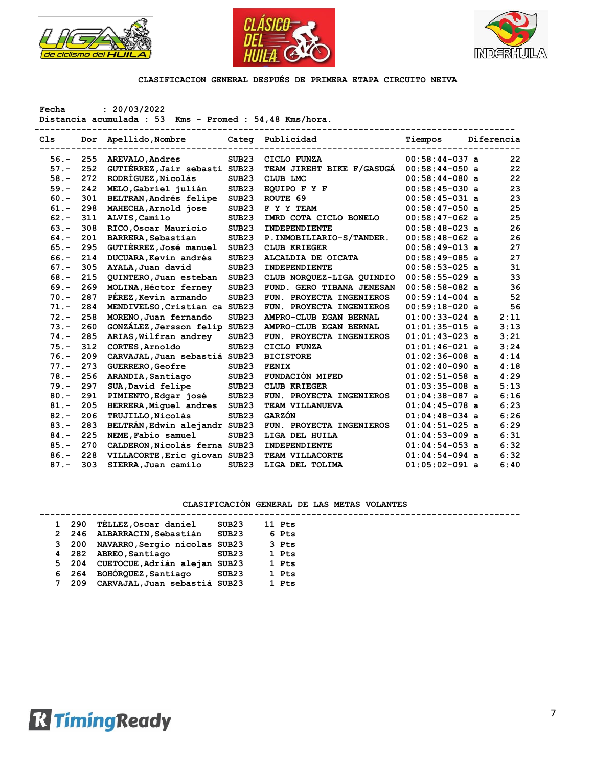





**Fecha : 20/03/2022**

**Distancia acumulada : 53 Kms - Promed : 54,48 Kms/hora.**

| C1s     |     | Dor Apellido, Nombre          |                   | Categ Publicidad          | Tiempos          | Diferencia |
|---------|-----|-------------------------------|-------------------|---------------------------|------------------|------------|
| $56. -$ | 255 | AREVALO, Andres               | SUB <sub>23</sub> | CICLO FUNZA               | $00:58:44-037$ a | 22         |
| $57. -$ | 252 | GUTIÉRREZ, Jair sebasti SUB23 |                   | TEAM JIREHT BIKE F/GASUGA | $00:58:44-050$ a | 22         |
| $58. -$ | 272 | RODRÍGUEZ, Nicolás            | SUB23             | CLUB LMC                  | $00:58:44-080$ a | 22         |
| $59. -$ | 242 | MELO, Gabriel julián          | SUB <sub>23</sub> | EQUIPO F Y F              | $00:58:45-030$ a | 23         |
| $60 -$  | 301 | <b>BELTRAN, Andrés felipe</b> | SUB <sub>23</sub> | ROUTE 69                  | $00:58:45-031$ a | 23         |
| $61. -$ | 298 | MAHECHA, Arnold jose          | SUB <sub>23</sub> | F Y Y TEAM                | $00:58:47-050$ a | 25         |
| $62 -$  | 311 | ALVIS, Camilo                 | SUB <sub>23</sub> | IMRD COTA CICLO BONELO    | $00:58:47-062$ a | 25         |
| $63 -$  | 308 | RICO, Oscar Mauricio          | SUB <sub>23</sub> | INDEPENDIENTE             | $00:58:48-023$ a | 26         |
| $64. -$ | 201 | BARRERA, Sebastian            | SUB <sub>23</sub> | P. INMOBILIARIO-S/TANDER. | $00:58:48-062$ a | 26         |
| $65. -$ | 295 | GUTIÉRREZ, José manuel        | SUB <sub>23</sub> | <b>CLUB KRIEGER</b>       | $00:58:49-013$ a | 27         |
| $66. -$ | 214 | DUCUARA, Kevin andrés         | SUB <sub>23</sub> | ALCALDIA DE OICATA        | $00:58:49-085$ a | 27         |
| $67. -$ | 305 | AYALA, Juan david             | SUB <sub>23</sub> | INDEPENDIENTE             | $00:58:53-025$ a | 31         |
| $68. -$ | 215 | QUINTERO, Juan esteban        | SUB <sub>23</sub> | CLUB NORQUEZ-LIGA QUINDIO | $00:58:55-029$ a | 33         |
| $69. -$ | 269 | MOLINA, Héctor ferney         | SUB <sub>23</sub> | FUND. GERO TIBANA JENESAN | $00:58:58-082$ a | 36         |
| $70. -$ | 287 | PÉREZ, Kevin armando          | SUB <sub>23</sub> | FUN. PROYECTA INGENIEROS  | $00:59:14-004$ a | 52         |
| $71. -$ | 284 | MENDIVELSO, Cristian ca SUB23 |                   | FUN. PROYECTA INGENIEROS  | $00:59:18-020$ a | 56         |
| $72 -$  | 258 | MORENO, Juan fernando         | SUB <sub>23</sub> | AMPRO-CLUB EGAN BERNAL    | $01:00:33-024$ a | 2:11       |
| $73. -$ | 260 | GONZÁLEZ, Jersson felip SUB23 |                   | AMPRO-CLUB EGAN BERNAL    | $01:01:35-015$ a | 3:13       |
| $74. -$ | 285 | ARIAS, Wilfran andrey         | SUB <sub>23</sub> | FUN. PROYECTA INGENIEROS  | $01:01:43-023$ a | 3:21       |
| $75. -$ | 312 | CORTES, Arnoldo               | SUB <sub>23</sub> | CICLO FUNZA               | $01:01:46-021$ a | 3:24       |
| $76. -$ | 209 | CARVAJAL, Juan sebastiá SUB23 |                   | <b>BICISTORE</b>          | $01:02:36-008$ a | 4:14       |
| $77. -$ | 273 | GUERRERO, Geofre              | SUB <sub>23</sub> | <b>FENIX</b>              | $01:02:40-090$ a | 4:18       |
| $78. -$ | 256 | ARANDIA, Santiago             | SUB <sub>23</sub> | FUNDACIÓN MIFED           | $01:02:51-058$ a | 4:29       |
| $79. -$ | 297 | SUA, David felipe             | SUB <sub>23</sub> | <b>CLUB KRIEGER</b>       | $01:03:35-008$ a | 5:13       |
| $80. -$ | 291 | PIMIENTO, Edgar josé          | SUB <sub>23</sub> | FUN. PROYECTA INGENIEROS  | $01:04:38-087$ a | 6:16       |
| $81. -$ | 205 | HERRERA, Miquel andres        | SUB <sub>23</sub> | TEAM VILLANUEVA           | $01:04:45-078$ a | 6:23       |
| $82 -$  | 206 | TRUJILLO, Nicolás             | SUB <sub>23</sub> | <b>GARZÓN</b>             | $01:04:48-034$ a | 6:26       |
| $83 -$  | 283 | BELTRÁN, Edwin alejandr SUB23 |                   | FUN. PROYECTA INGENIEROS  | $01:04:51-025$ a | 6:29       |
| $84. -$ | 225 | NEME, Fabio samuel            | SUB <sub>23</sub> | LIGA DEL HUILA            | $01:04:53-009$ a | 6:31       |
| $85. -$ | 270 | CALDERON, Nicolás ferna SUB23 |                   | INDEPENDIENTE             | $01:04:54-053$ a | 6:32       |
| $86. -$ | 228 | VILLACORTE, Eric giovan SUB23 |                   | TEAM VILLACORTE           | $01:04:54-094$ a | 6:32       |
| $87. -$ | 303 | SIERRA, Juan camilo           | SUB <sub>23</sub> | LIGA DEL TOLIMA           | $01:05:02-091$ a | 6:40       |

|  | 1 290 | TÉLLEZ, Oscar daniel                | SUB23             | 11 Pts |
|--|-------|-------------------------------------|-------------------|--------|
|  | 2 246 | ALBARRACIN, Sebastián               | SUB23             | 6 Pts  |
|  | 3 200 | NAVARRO, Sergio nicolas SUB23       |                   | 3 Pts  |
|  | 4 282 | ABREO, Santiago                     | SUB <sub>23</sub> | 1 Pts  |
|  |       | 5 204 CUETOCUE, Adrián alejan SUB23 |                   | 1 Pts  |
|  | 6 264 | BOHÓRQUEZ, Santiago                 | SUB23             | 1 Pts  |
|  | 7 209 | CARVAJAL, Juan sebastiá SUB23       |                   | 1 Pts  |
|  |       |                                     |                   |        |

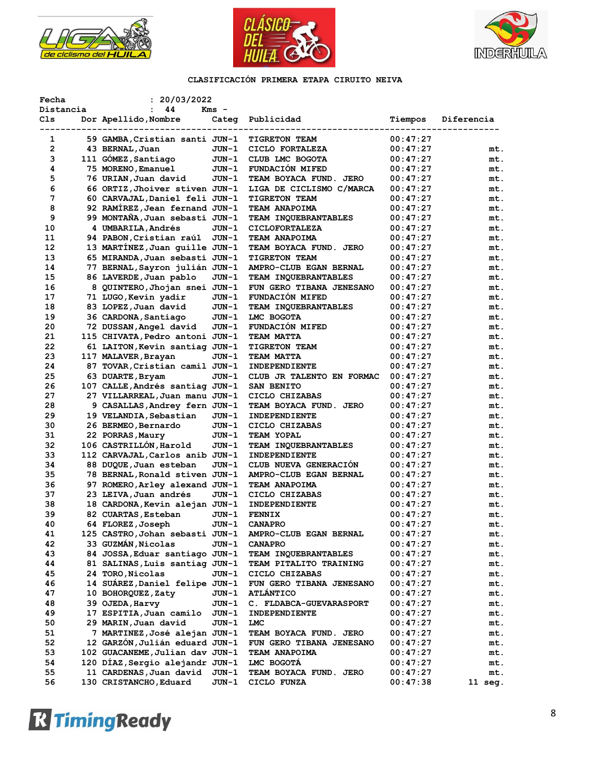





| Fecha          | : 20/03/2022                                          |         |                           |          |            |
|----------------|-------------------------------------------------------|---------|---------------------------|----------|------------|
| Distancia      | 44<br>$\mathbf{r}$                                    | Kms -   |                           |          |            |
| Cls            | Dor Apellido, Nombre                                  |         | Categ Publicidad          | Tiempos  | Diferencia |
| 1              | -------------------<br>59 GAMBA, Cristian santi JUN-1 |         | <b>TIGRETON TEAM</b>      | 00:47:27 |            |
| $\overline{2}$ | 43 BERNAL, Juan                                       | JUN-1   | CICLO FORTALEZA           | 00:47:27 | mt.        |
| 3              | 111 GÓMEZ, Santiago                                   | JUN-1   | CLUB LMC BOGOTA           | 00:47:27 | mt.        |
| 4              | 75 MORENO, Emanuel                                    | JUN-1   | <b>FUNDACION MIFED</b>    | 00:47:27 | mt.        |
| 5              | 76 URIAN,Juan david                                   | JUN-1   | TEAM BOYACA FUND. JERO    | 00:47:27 | mt.        |
| 6              | 66 ORTIZ, Jhoiver stiven JUN-1                        |         |                           |          |            |
| 7              |                                                       |         | LIGA DE CICLISMO C/MARCA  | 00:47:27 | mt.        |
|                | 60 CARVAJAL, Daniel feli JUN-1                        |         | TIGRETON TEAM             | 00:47:27 | mt.        |
| 8              | 92 RAMIREZ, Jean fernand JUN-1                        |         | TEAM ANAPOIMA             | 00:47:27 | mt.        |
| 9              | 99 MONTAÑA, Juan sebasti JUN-1                        |         | TEAM INQUEBRANTABLES      | 00:47:27 | mt.        |
| 10             | 4 UMBARILA, Andrés                                    | JUN-1   | <b>CICLOFORTALEZA</b>     | 00:47:27 | mt.        |
| 11             | 94 PABON, Cristian raúl JUN-1                         |         | <b>TEAM ANAPOIMA</b>      | 00:47:27 | mt.        |
| 12             | 13 MARTINEZ, Juan quille JUN-1                        |         | TEAM BOYACA FUND. JERO    | 00:47:27 | mt.        |
| 13             | 65 MIRANDA, Juan sebasti JUN-1                        |         | TIGRETON TEAM             | 00:47:27 | mt.        |
| 14             | 77 BERNAL, Sayron julián JUN-1                        |         | AMPRO-CLUB EGAN BERNAL    | 00:47:27 | mt.        |
| 15             | 86 LAVERDE, Juan pablo                                | JUN-1   | TEAM INQUEBRANTABLES      | 00:47:27 | mt.        |
| 16             | 8 QUINTERO, Jhojan snei JUN-1                         |         | FUN GERO TIBANA JENESANO  | 00:47:27 | mt.        |
| 17             | 71 LUGO, Kevin yadir                                  | JUN-1   | FUNDACIÓN MIFED           | 00:47:27 | mt.        |
| 18             | 83 LOPEZ, Juan david                                  | JUN-1   | TEAM INQUEBRANTABLES      | 00:47:27 | mt.        |
| 19             | 36 CARDONA, Santiago                                  | JUN-1   | LMC BOGOTA                | 00:47:27 | mt.        |
| 20             | 72 DUSSAN, Angel david                                | JUN-1   | <b>FUNDACION MIFED</b>    | 00:47:27 | mt.        |
| 21             | 115 CHIVATA, Pedro antoni JUN-1                       |         | <b>TEAM MATTA</b>         | 00:47:27 | mt.        |
| 22             | 61 LAITON, Kevin santiag JUN-1                        |         | <b>TIGRETON TEAM</b>      | 00:47:27 | mt.        |
| 23             | 117 MALAVER, Brayan                                   | JUN-1   | TEAM MATTA                | 00:47:27 | mt.        |
| 24             | 87 TOVAR, Cristian camil JUN-1                        |         | INDEPENDIENTE             | 00:47:27 | mt.        |
| 25             | 63 DUARTE, Bryam                                      | JUN-1   | CLUB JR TALENTO EN FORMAC | 00:47:27 | mt.        |
| 26             | 107 CALLE, Andrés santiag JUN-1                       |         | SAN BENITO                | 00:47:27 | mt.        |
| 27             | 27 VILLARREAL, Juan manu JUN-1                        |         | CICLO CHIZABAS            | 00:47:27 | mt.        |
| 28             | 9 CASALLAS, Andrey fern JUN-1                         |         | TEAM BOYACA FUND. JERO    | 00:47:27 | mt.        |
| 29             | 19 VELANDIA, Sebastian                                | JUN-1   | INDEPENDIENTE             | 00:47:27 | mt.        |
| 30             | 26 BERMEO, Bernardo                                   | JUN-1   | CICLO CHIZABAS            | 00:47:27 | mt.        |
| 31             | 22 PORRAS, Maury                                      | JUN-1   | TEAM YOPAL                | 00:47:27 | mt.        |
| 32             | 106 CASTRILLÓN, Harold                                | JUN-1   | TEAM INQUEBRANTABLES      | 00:47:27 | mt.        |
| 33             | 112 CARVAJAL, Carlos anib JUN-1                       |         | INDEPENDIENTE             | 00:47:27 | mt.        |
| 34             | 88 DUQUE, Juan esteban                                | JUN-1   | CLUB NUEVA GENERACION     | 00:47:27 | mt.        |
| 35             | 78 BERNAL, Ronald stiven JUN-1                        |         | AMPRO-CLUB EGAN BERNAL    | 00:47:27 | mt.        |
| 36             | 97 ROMERO, Arley alexand JUN-1                        |         | TEAM ANAPOIMA             | 00:47:27 | mt.        |
| 37             | 23 LEIVA, Juan andrés                                 | JUN-1   | CICLO CHIZABAS            | 00:47:27 | mt.        |
| 38             | 18 CARDONA, Kevin alejan JUN-1                        |         | INDEPENDIENTE             | 00:47:27 | mt.        |
| 39             | 82 CUARTAS, Esteban                                   | JUN-1   | <b>FENNIX</b>             | 00:47:27 | mt.        |
| 40             | 64 FLOREZ, Joseph                                     | $JUN-1$ | <b>CANAPRO</b>            | 00:47:27 | mt.        |
| 41             | 125 CASTRO, Johan sebasti JUN-1                       |         | AMPRO-CLUB EGAN BERNAL    | 00:47:27 | mt.        |
| 42             | 33 GUZMÁN, Nicolas                                    | JUN-1   | <b>CANAPRO</b>            | 00:47:27 | mt.        |
| 43             | 84 JOSSA, Eduar santiago JUN-1                        |         | TEAM INQUEBRANTABLES      | 00:47:27 | mt.        |
| 44             | 81 SALINAS, Luis santiag JUN-1                        |         | TEAM PITALITO TRAINING    | 00:47:27 | mt.        |
| 45             | 24 TORO, Nicolas                                      | JUN-1   | CICLO CHIZABAS            | 00:47:27 | mt.        |
| 46             | 14 SUAREZ, Daniel felipe JUN-1                        |         |                           |          |            |
|                |                                                       |         | FUN GERO TIBANA JENESANO  | 00:47:27 | mt.        |
| 47             | 10 BOHORQUEZ, Zaty                                    | JUN-1   | <b>ATLANTICO</b>          | 00:47:27 | mt.        |
| 48             | 39 OJEDA, Harvy                                       | JUN-1   | C. FLDABCA-GUEVARASPORT   | 00:47:27 | mt.        |
| 49             | 17 ESPITIA, Juan camilo                               | JUN-1   | INDEPENDIENTE             | 00:47:27 | mt.        |
| 50             | 29 MARIN, Juan david                                  | JUN-1   | LMC                       | 00:47:27 | mt.        |
| 51             | 7 MARTINEZ, José alejan JUN-1                         |         | TEAM BOYACA FUND. JERO    | 00:47:27 | mt.        |
| 52             | 12 GARZÓN, Julián eduard JUN-1                        |         | FUN GERO TIBANA JENESANO  | 00:47:27 | mt.        |
| 53             | 102 GUACANEME, Julian dav JUN-1                       |         | TEAM ANAPOIMA             | 00:47:27 | mt.        |
| 54             | 120 DIAZ, Sergio alejandr JUN-1                       |         | LMC BOGOTA                | 00:47:27 | mt.        |
| 55             | 11 CARDENAS, Juan david                               | JUN-1   | TEAM BOYACA FUND. JERO    | 00:47:27 | mt.        |
| 56             | 130 CRISTANCHO, Eduard                                | JUN-1   | CICLO FUNZA               | 00:47:38 | 11 seg.    |

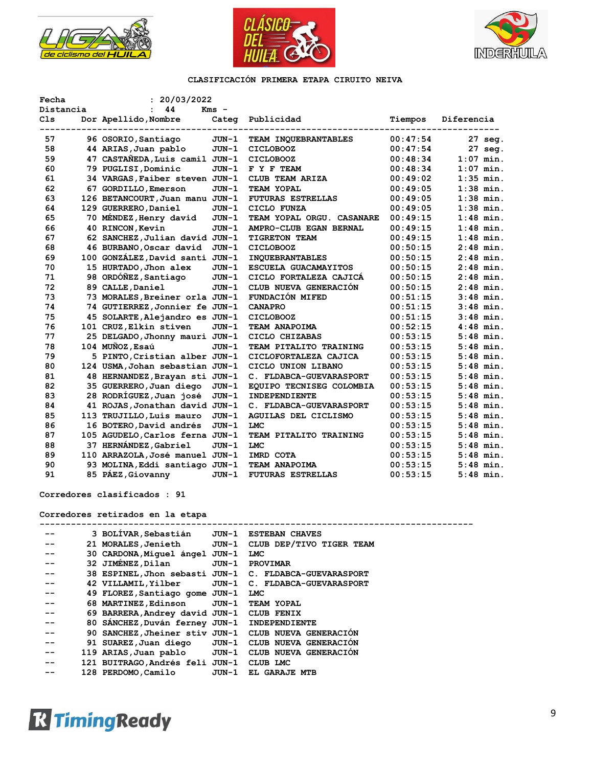





| Fecha           | : 20/03/2022                    |         |                           |          |                             |
|-----------------|---------------------------------|---------|---------------------------|----------|-----------------------------|
| Distancia       | 44                              | $Kms -$ |                           |          |                             |
| C <sub>1s</sub> | Dor Apellido, Nombre            | Categ   | Publicidad                | Tiempos  | Diferencia<br>------------- |
| 57              | 96 OSORIO, Santiago             | JUN-1   | TEAM INQUEBRANTABLES      | 00:47:54 | 27 seg.                     |
| 58              | 44 ARIAS, Juan pablo            | JUN-1   | <b>CICLOBOOZ</b>          | 00:47:54 | 27 seg.                     |
| 59              | 47 CASTANEDA, Luis camil JUN-1  |         | CICLOBOOZ                 | 00:48:34 | $1:07$ min.                 |
| 60              | 79 PUGLISI, Dominic             | JUN-1   | F Y F TEAM                | 00:48:34 | $1:07$ min.                 |
| 61              | 34 VARGAS, Faiber steven JUN-1  |         | CLUB TEAM ARIZA           | 00:49:02 | $1:35$ min.                 |
| 62              | 67 GORDILLO, Emerson            | $JUN-1$ | TEAM YOPAL                | 00:49:05 | $1:38$ min.                 |
| 63              | 126 BETANCOURT, Juan manu JUN-1 |         | <b>FUTURAS ESTRELLAS</b>  | 00:49:05 | $1:38$ min.                 |
| 64              | 129 GUERRERO, Daniel            | JUN-1   | CICLO FUNZA               | 00:49:05 | $1:38$ min.                 |
| 65              | 70 MÉNDEZ, Henry david          | JUN-1   | TEAM YOPAL ORGU. CASANARE | 00:49:15 | $1:48$ min.                 |
| 66              | 40 RINCON, Kevin                | JUN-1   | AMPRO-CLUB EGAN BERNAL    | 00:49:15 | $1:48$ min.                 |
| 67              | 62 SANCHEZ, Julian david JUN-1  |         | <b>TIGRETON TEAM</b>      | 00:49:15 | $1:48$ min.                 |
| 68              | 46 BURBANO, Oscar david         | JUN-1   | CICLOBOOZ                 | 00:50:15 | $2:48$ min.                 |
| 69              | 100 GONZÁLEZ, David santi JUN-1 |         | <b>INQUEBRANTABLES</b>    | 00:50:15 | $2:48$ min.                 |
| 70              | 15 HURTADO, Jhon alex           | JUN-1   | ESCUELA GUACAMAYITOS      | 00:50:15 | $2:48$ min.                 |
| 71              | 98 ORDÓÑEZ, Santiago            | $JUN-1$ | CICLO FORTALEZA CAJICÁ    | 00:50:15 | $2:48$ min.                 |
| 72              | 89 CALLE, Daniel                | $JUN-1$ | CLUB NUEVA GENERACIÓN     | 00:50:15 | $2:48$ min.                 |
| 73              | 73 MORALES, Breiner orla JUN-1  |         | <b>FUNDACIÓN MIFED</b>    | 00:51:15 | $3:48$ min.                 |
| 74              | 74 GUTIERREZ, Jonnier fe JUN-1  |         | <b>CANAPRO</b>            | 00:51:15 | $3:48$ min.                 |
| 75              | 45 SOLARTE, Alejandro es JUN-1  |         | CICLOBOOZ                 | 00:51:15 | $3:48$ min.                 |
| 76              | 101 CRUZ, Elkin stiven          | $JUN-1$ | TEAM ANAPOIMA             | 00:52:15 | $4:48$ min.                 |
| 77              | 25 DELGADO, Jhonny mauri JUN-1  |         | CICLO CHIZABAS            | 00:53:15 | $5:48$ min.                 |
| 78              | 104 MUÑOZ, Esaú                 | $JUN-1$ | TEAM PITALITO TRAINING    | 00:53:15 | $5:48$ min.                 |
| 79              | 5 PINTO, Cristian alber JUN-1   |         | CICLOFORTALEZA CAJICA     | 00:53:15 | $5:48$ min.                 |
| 80              | 124 USMA, Johan sebastian JUN-1 |         | CICLO UNION LIBANO        | 00:53:15 | $5:48$ min.                 |
| 81              | 48 HERNANDEZ, Brayan sti JUN-1  |         | C. FLDABCA-GUEVARASPORT   | 00:53:15 | $5:48$ min.                 |
| 82              | 35 GUERRERO, Juan diego         | $JUN-1$ | EQUIPO TECNISEG COLOMBIA  | 00:53:15 | $5:48$ min.                 |
| 83              | 28 RODRÍGUEZ, Juan josé         | $JUN-1$ | <b>INDEPENDIENTE</b>      | 00:53:15 | $5:48$ min.                 |
| 84              | 41 ROJAS, Jonathan david JUN-1  |         | C. FLDABCA-GUEVARASPORT   | 00:53:15 | $5:48$ min.                 |
| 85              | 113 TRUJILLO, Luis mauro        | $JUN-1$ | AGUILAS DEL CICLISMO      | 00:53:15 | $5:48$ min.                 |
| 86              | 16 BOTERO, David andrés         | $JUN-1$ | <b>LMC</b>                | 00:53:15 | $5:48$ min.                 |
| 87              | 105 AGUDELO, Carlos ferna JUN-1 |         | TEAM PITALITO TRAINING    | 00:53:15 | $5:48$ min.                 |
| 88              | 37 HERNÁNDEZ, Gabriel           | JUN-1   | <b>LMC</b>                | 00:53:15 | $5:48$ min.                 |
| 89              | 110 ARRAZOLA, José manuel JUN-1 |         | IMRD COTA                 | 00:53:15 | $5:48$ min.                 |
| 90              | 93 MOLINA, Eddi santiago JUN-1  |         | TEAM ANAPOIMA             | 00:53:15 | $5:48$ min.                 |
| 91              | 85 PÁEZ, Giovanny               | $JUN-1$ | <b>FUTURAS ESTRELLAS</b>  | 00:53:15 | $5:48$ min.                 |

**Corredores clasificados : 91**

# **Corredores retirados en la etapa**

|    | 3 BOLIVAR, Sebastián                         |       | JUN-1 ESTEBAN CHAVES                                   |
|----|----------------------------------------------|-------|--------------------------------------------------------|
|    | 21 MORALES, Jenieth                          |       | JUN-1 CLUB DEP/TIVO TIGER TEAM                         |
|    | 30 CARDONA, Miquel ángel JUN-1               |       | LMC                                                    |
| -- | 32 JIMÉNEZ, Dilan                            |       | JUN-1 PROVIMAR                                         |
|    |                                              |       | 38 ESPINEL, Jhon sebasti JUN-1 C. FLDABCA-GUEVARASPORT |
|    | 42 VILLAMIL, Yilber                          |       | JUN-1 C. FLDABCA-GUEVARASPORT                          |
|    | 49 FLOREZ, Santiago gome JUN-1               |       | <b>LMC</b>                                             |
|    | 68 MARTINEZ, Edinson JUN-1 TEAM YOPAL        |       |                                                        |
|    | 69 BARRERA, Andrey david JUN-1 CLUB FENIX    |       |                                                        |
|    | 80 SANCHEZ, Duván ferney JUN-1 INDEPENDIENTE |       |                                                        |
|    |                                              |       | 90 SANCHEZ, Jheiner stiv JUN-1 CLUB NUEVA GENERACIÓN   |
|    | 91 SUAREZ,Juan diego                         |       | JUN-1 CLUB NUEVA GENERACION                            |
| -- | 119 ARIAS,Juan pablo                         |       | JUN-1 CLUB NUEVA GENERACION                            |
| -- | 121 BUITRAGO, Andrés feli JUN-1              |       | CLUB LMC                                               |
|    | 128 PERDOMO, Camilo                          | JUN-1 | EL GARAJE MTB                                          |
|    |                                              |       |                                                        |

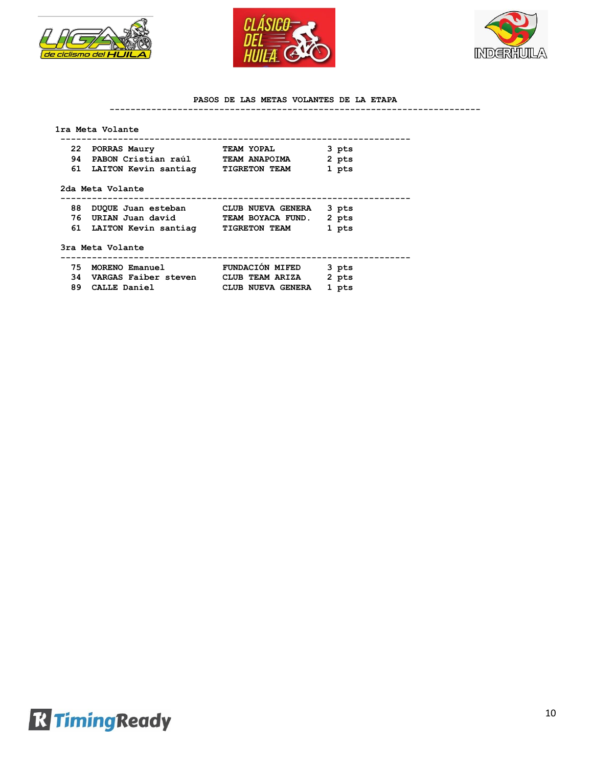





#### **PASOS DE LAS METAS VOLANTES DE LA ETAPA**

#### **-----------------------------------------------------------------------**

#### **1ra Meta Volante**

|    | 22 PORRAS Maury         | TEAM YOPAL           | 3 pts |
|----|-------------------------|----------------------|-------|
| 94 | PABON Cristian raúl     | TEAM ANAPOIMA        | 2 pts |
|    | 61 LAITON Kevin santiag | <b>TIGRETON TEAM</b> | 1 pts |

| 88 DUQUE Juan esteban   | CLUB NUEVA GENERA    | 3 pts |
|-------------------------|----------------------|-------|
| 76 URIAN Juan david     | TEAM BOYACA FUND.    | 2 pts |
| 61 LAITON Kevin santiag | <b>TIGRETON TEAM</b> | 1 pts |

#### **3ra Meta Volante**

 **-------------------------------------------------------------------**

|     | 75 MORENO Emanuel       | <b>FUNDACIÓN MIFED</b> | 3 pts |
|-----|-------------------------|------------------------|-------|
|     | 34 VARGAS Faiber steven | CLUB TEAM ARIZA        | 2 pts |
| 89. | CALLE Daniel            | CLUB NUEVA GENERA      | l pts |

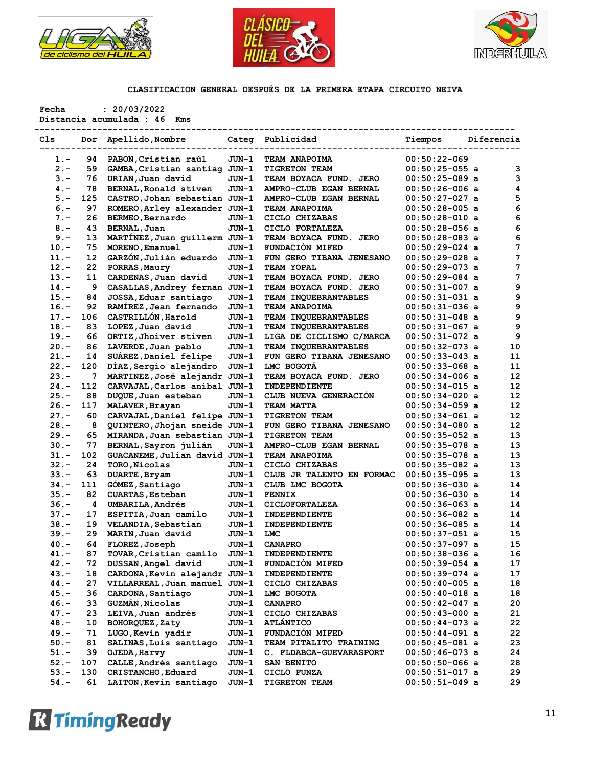





**Fecha : 20/03/2022 Distancia acumulada : 46 Kms** 

| Cls                | Dor               | Apellido, Nombre              |         | Categ Publicidad                 | Tiempos          | Diferencia |          |
|--------------------|-------------------|-------------------------------|---------|----------------------------------|------------------|------------|----------|
| $1. -$             | 94                | PABON, Cristian raúl          | JUN-1   | TEAM ANAPOIMA                    | $00:50:22-069$   |            |          |
| $2 -$              | 59                | GAMBA, Cristian santiag JUN-1 |         | <b>TIGRETON TEAM</b>             | $00:50:25-055$ a |            | 3        |
| $3 -$              | 76                | URIAN, Juan david             | JUN-1   | <b>TEAM BOYACA FUND. JERO</b>    | $00:50:25-089$ a |            | 3        |
| $4 -$              | 78                | BERNAL, Ronald stiven         | JUN-1   | AMPRO-CLUB EGAN BERNAL           | $00:50:26-006$ a |            | 4        |
| $5. -$             | 125               | CASTRO, Johan sebastian JUN-1 |         | AMPRO-CLUB EGAN BERNAL           | $00:50:27-027$ a |            | 5        |
| $6. -$             | 97                | ROMERO, Arley alexander JUN-1 |         | <b>TEAM ANAPOIMA</b>             | $00:50:28-005$ a |            | 6        |
| $7 -$              | 26                | BERMEO, Bernardo              | JUN-1   | CICLO CHIZABAS                   | $00:50:28-010$ a |            | 6        |
| $8 -$              | 43                | <b>BERNAL, Juan</b>           | JUN-1   | CICLO FORTALEZA                  | $00:50:28-056$ a |            | 6        |
| $9 -$              | 13                | MARTINEZ, Juan quillerm JUN-1 |         | TEAM BOYACA FUND. JERO           | $00:50:28-083$ a |            | 6        |
| $10. -$            | 75                | MORENO, Emanuel               | JUN-1   | FUNDACIÓN MIFED                  | $00:50:29-024$ a |            | 7        |
| $11. -$            | $12 \overline{ }$ | GARZÓN, Julián eduardo        | $JUN-1$ | FUN GERO TIBANA JENESANO         | $00:50:29-028$ a |            | 7        |
| $12. -$            | 22                | PORRAS, Maury                 | JUN-1   | TEAM YOPAL                       | $00:50:29-073$ a |            | 7        |
| $13 -$             | 11                | CARDENAS, Juan david          | JUN-1   | TEAM BOYACA FUND. JERO           | $00:50:29-084$ a |            | 7        |
| $14. -$            | 9                 | CASALLAS, Andrey fernan JUN-1 |         | TEAM BOYACA FUND. JERO           | $00:50:31-007$ a |            | 9        |
| $15. -$            | 84                | JOSSA, Eduar santiago         | JUN-1   | TEAM INQUEBRANTABLES             | $00:50:31-031$ a |            | 9        |
|                    |                   | RAMÍREZ, Jean fernando        |         |                                  |                  |            | 9        |
| $16. -$            | 92                | CASTRILLÓN, Harold            | JUN-1   | <b>TEAM ANAPOIMA</b>             | $00:50:31-036$ a |            | 9        |
| $17. -$            | 106               |                               | JUN-1   | TEAM INQUEBRANTABLES             | $00:50:31-048$ a |            |          |
| $18. -$            | 83                | LOPEZ, Juan david             | JUN-1   | TEAM INQUEBRANTABLES             | $00:50:31-067$ a |            | 9        |
| $19. -$            | 66                | ORTIZ, Jhoiver stiven         | JUN-1   | LIGA DE CICLISMO C/MARCA         | $00:50:31-072$ a |            | 9        |
| $20 -$             | 86                | LAVERDE, Juan pablo           | JUN-1   | TEAM INQUEBRANTABLES             | $00:50:32-073$ a |            | 10       |
| 21.-               | 14                | SUAREZ, Daniel felipe         | JUN-1   | FUN GERO TIBANA JENESANO         | $00:50:33-043$ a |            | 11       |
| $22 -$             | 120               | DIAZ, Sergio alejandro        | $JUN-1$ | LMC BOGOTA                       | $00:50:33-068$ a |            | 11       |
| $23 -$             | 7                 | MARTINEZ, José alejandr JUN-1 |         | TEAM BOYACA FUND. JERO           | $00:50:34-006$ a |            | 12       |
| $24. -$            | 112               | CARVAJAL, Carlos anibal JUN-1 |         | INDEPENDIENTE                    | $00:50:34-015$ a |            | 12       |
| $25. -$            | 88                | DUQUE, Juan esteban           | JUN-1   | CLUB NUEVA GENERACIÓN            | $00:50:34-020$ a |            | 12       |
| $26. -$            | 117               | MALAVER, Brayan               | JUN-1   | <b>TEAM MATTA</b>                | $00:50:34-059$ a |            | 12       |
| $27. -$            | 60                | CARVAJAL, Daniel felipe JUN-1 |         | <b>TIGRETON TEAM</b>             | $00:50:34-061$ a |            | 12       |
| $28. -$            | 8                 | QUINTERO, Jhojan sneide JUN-1 |         | FUN GERO TIBANA JENESANO         | $00:50:34-080$ a |            | 12       |
| $29. -$            | 65                | MIRANDA, Juan sebastian JUN-1 |         | <b>TIGRETON TEAM</b>             | $00:50:35-052$ a |            | 13       |
| $30 -$             | 77                | BERNAL, Sayron julián         | JUN-1   | AMPRO-CLUB EGAN BERNAL           | $00:50:35-078$ a |            | 13       |
| 31.-               | 102               | GUACANEME, Julian david JUN-1 |         | <b>TEAM ANAPOIMA</b>             | $00:50:35-078$ a |            | 13       |
| $32 -$             | 24                | TORO, Nicolas                 | JUN-1   | CICLO CHIZABAS                   | $00:50:35-082$ a |            | 13       |
| $33 -$             | 63                | DUARTE, Bryam                 | JUN-1   | CLUB JR TALENTO EN FORMAC        | $00:50:35-095$ a |            | 13       |
| $34. -$            | 111               | GÓMEZ, Santiago               | JUN-1   | CLUB LMC BOGOTA                  | $00:50:36-030$ a |            | 14       |
| $35. -$            | 82                | <b>CUARTAS, Esteban</b>       | JUN-1   | <b>FENNIX</b>                    | $00:50:36-030$ a |            | 14       |
| $36. -$            | 4                 | <b>UMBARILA, Andrés</b>       | JUN-1   | <b>CICLOFORTALEZA</b>            | $00:50:36-063$ a |            | 14       |
| $37. -$            | 17                | ESPITIA, Juan camilo          | JUN-1   | INDEPENDIENTE                    | $00:50:36-082$ a |            | 14       |
| $38. -$            | 19                | VELANDIA, Sebastian           | JUN-1   | INDEPENDIENTE                    | $00:50:36-085$ a |            | 14       |
| $39. -$            | 29                | MARIN, Juan david             | JUN-1   | <b>LMC</b>                       | $00:50:37-051$ a |            | 15       |
| $40. -$            | 64                | FLOREZ, Joseph                | JUN-1   | <b>CANAPRO</b>                   | $00:50:37-097$ a |            | 15       |
| 41.-               | 87                | TOVAR, Cristian camilo        | JUN-1   | INDEPENDIENTE                    | $00:50:38-036$ a |            | 16       |
| $42 -$             | 72                | DUSSAN, Angel david           | JUN-1   | <b>FUNDACION MIFED</b>           | $00:50:39-054$ a |            | 17       |
| 43.-               | 18                | CARDONA, Kevin alejandr JUN-1 |         | INDEPENDIENTE                    | $00:50:39-074$ a |            | 17       |
| $44. -$            | 27                | VILLARREAL, Juan manuel JUN-1 |         | CICLO CHIZABAS                   | $00:50:40-005$ a |            | 18       |
| $45. -$            | 36                | CARDONA, Santiago             | JUN-1   | LMC BOGOTA                       | $00:50:40-018$ a |            | 18       |
|                    |                   |                               |         |                                  |                  |            |          |
| $46. -$<br>$47. -$ | 33<br>23          | <b>GUZMÁN, Nicolas</b>        | JUN-1   | <b>CANAPRO</b><br>CICLO CHIZABAS | $00:50:42-047$ a |            | 20<br>21 |
|                    |                   | LEIVA, Juan andrés            | JUN-1   |                                  | $00:50:43-000$ a |            |          |
| $48. -$            | 10                | BOHORQUEZ, Zaty               | JUN-1   | <b>ATLANTICO</b>                 | $00:50:44-073$ a |            | 22       |
| $49. -$            | 71                | LUGO, Kevin yadir             | JUN-1   | FUNDACIÓN MIFED                  | $00:50:44-091$ a |            | 22       |
| $50. -$            | 81                | SALINAS, Luis santiago        | JUN-1   | TEAM PITALITO TRAINING           | $00:50:45-081$ a |            | 23       |
| $51. -$            | 39                | OJEDA, Harvy                  | JUN-1   | C. FLDABCA-GUEVARASPORT          | $00:50:46-073$ a |            | 24       |
| $52 -$             | 107               | CALLE, Andrés santiago        | JUN-1   | SAN BENITO                       | $00:50:50-066$ a |            | 28       |
| $53. -$            | 130               | CRISTANCHO, Eduard            | JUN-1   | CICLO FUNZA                      | $00:50:51-017$ a |            | 29       |
| $54. -$            | 61                | LAITON, Kevin santiago        | JUN-1   | TIGRETON TEAM                    | $00:50:51-049$ a |            | 29       |

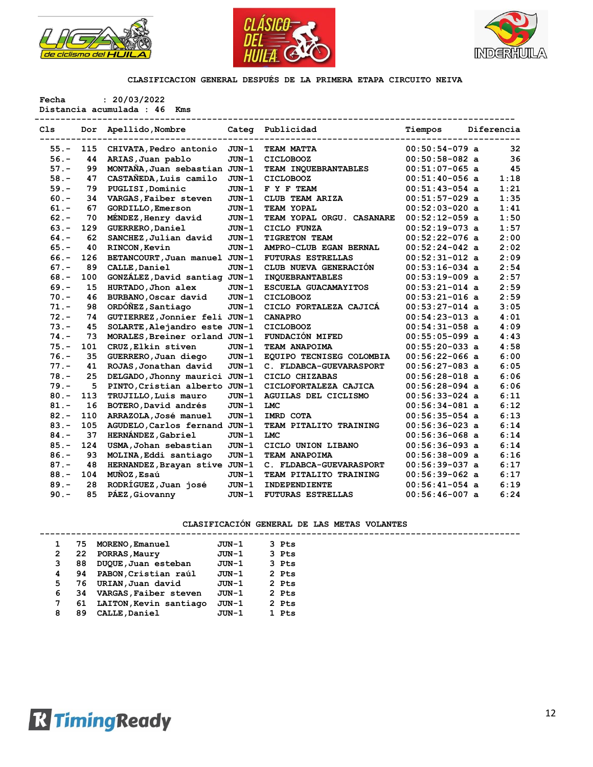





**Fecha : 20/03/2022**

**Distancia acumulada : 46 Kms --------------------------------------------------------------------------------------------**

| Cls     | Dor | Apellido, Nombre              | Categ   | Publicidad                  | Tiempos          | Diferencia |      |
|---------|-----|-------------------------------|---------|-----------------------------|------------------|------------|------|
| $55. -$ | 115 | CHIVATA, Pedro antonio        | JUN-1   | TEAM MATTA                  | $00:50:54-079$ a |            | 32   |
| $56. -$ | 44  | ARIAS, Juan pablo             | $JUN-1$ | <b>CICLOBOOZ</b>            | $00:50:58-082$ a |            | 36   |
| $57. -$ | 99  | MONTAÑA, Juan sebastian JUN-1 |         | TEAM INQUEBRANTABLES        | $00:51:07-065$ a |            | 45   |
| $58. -$ | 47  | CASTAÑEDA, Luis camilo        | $JUN-1$ | <b>CICLOBOOZ</b>            | $00:51:40-056$ a |            | 1:18 |
| $59. -$ | 79  | PUGLISI, Dominic              | $JUN-1$ | F Y F TEAM                  | $00:51:43-054$ a |            | 1:21 |
| $60 -$  | 34  | VARGAS, Faiber steven         | $JUN-1$ | CLUB TEAM ARIZA             | $00:51:57-029$ a |            | 1:35 |
| $61. -$ | 67  | <b>GORDILLO, Emerson</b>      | $JUN-1$ | TEAM YOPAL                  | $00:52:03-020$ a |            | 1:41 |
| $62 -$  | 70  | MENDEZ, Henry david           | $JUN-1$ | TEAM YOPAL ORGU. CASANARE   | $00:52:12-059$ a |            | 1:50 |
| $63 -$  | 129 | GUERRERO, Daniel              | $JUN-1$ | CICLO FUNZA                 | $00:52:19-073$ a |            | 1:57 |
| $64. -$ | 62  | SANCHEZ, Julian david         | JUN-1   | <b>TIGRETON TEAM</b>        | $00:52:22-076$ a |            | 2:00 |
| $65. -$ | 40  | RINCON, Kevin                 | $JUN-1$ | AMPRO-CLUB EGAN BERNAL      | $00:52:24-042$ a |            | 2:02 |
| $66. -$ | 126 | BETANCOURT, Juan manuel JUN-1 |         | <b>FUTURAS ESTRELLAS</b>    | $00:52:31-012$ a |            | 2:09 |
| $67. -$ | 89  | CALLE, Daniel                 | $JUN-1$ | CLUB NUEVA GENERACIÓN       | $00:53:16-034$ a |            | 2:54 |
| $68. -$ | 100 | GONZÁLEZ, David santiag JUN-1 |         | <b>INQUEBRANTABLES</b>      | $00:53:19-009$ a |            | 2:57 |
| $69. -$ | 15  | HURTADO, Jhon alex            | $JUN-1$ | ESCUELA GUACAMAYITOS        | $00:53:21-014$ a |            | 2:59 |
| $70. -$ | 46  | BURBANO, Oscar david          | $JUN-1$ | <b>CICLOBOOZ</b>            | $00:53:21-016$ a |            | 2:59 |
| $71. -$ | 98  | ORDÓÑEZ, Santiago             | $JUN-1$ | CICLO FORTALEZA CAJICÁ      | $00:53:27-014$ a |            | 3:05 |
| $72 -$  | 74  | GUTIERREZ, Jonnier feli JUN-1 |         | <b>CANAPRO</b>              | $00:54:23-013$ a |            | 4:01 |
| $73. -$ | 45  | SOLARTE, Alejandro este JUN-1 |         | <b>CICLOBOOZ</b>            | $00:54:31-058$ a |            | 4:09 |
| $74. -$ | 73  | MORALES, Breiner orland JUN-1 |         | FUNDACIÓN MIFED             | $00:55:05-099$ a |            | 4:43 |
| $75. -$ | 101 | CRUZ, Elkin stiven            | $JUN-1$ | TEAM ANAPOIMA               | $00:55:20-033$ a |            | 4:58 |
| $76. -$ | 35  | GUERRERO, Juan diego          | $JUN-1$ | EQUIPO TECNISEG COLOMBIA    | $00:56:22-066$ a |            | 6:00 |
| $77. -$ | 41  | ROJAS, Jonathan david         | $JUN-1$ | C. FLDABCA-GUEVARASPORT     | $00:56:27-083$ a |            | 6:05 |
| $78. -$ | 25  | DELGADO, Jhonny maurici JUN-1 |         | CICLO CHIZABAS              | $00:56:28-018$ a |            | 6:06 |
| $79. -$ | 5   | PINTO, Cristian alberto JUN-1 |         | CICLOFORTALEZA CAJICA       | $00:56:28-094$ a |            | 6:06 |
| $80 -$  | 113 | TRUJILLO, Luis mauro          | $JUN-1$ | <b>AGUILAS DEL CICLISMO</b> | $00:56:33-024$ a |            | 6:11 |
| $81. -$ | 16  | BOTERO, David andrés          | $JUN-1$ | <b>LMC</b>                  | $00:56:34-081$ a |            | 6:12 |
| $82 -$  | 110 | ARRAZOLA, José manuel         | JUN-1   | IMRD COTA                   | $00:56:35-054$ a |            | 6:13 |
| $83 -$  | 105 | AGUDELO, Carlos fernand JUN-1 |         | TEAM PITALITO TRAINING      | $00:56:36-023$ a |            | 6:14 |
| $84. -$ | 37  | HERNÁNDEZ, Gabriel            | $JUN-1$ | <b>LMC</b>                  | $00:56:36-068$ a |            | 6:14 |
| $85. -$ | 124 | USMA, Johan sebastian         | $JUN-1$ | CICLO UNION LIBANO          | $00:56:36-093$ a |            | 6:14 |
| $86. -$ | 93  | MOLINA, Eddi santiago         | JUN-1   | TEAM ANAPOIMA               | $00:56:38-009$ a |            | 6:16 |
| $87. -$ | 48  | HERNANDEZ, Brayan stive JUN-1 |         | C. FLDABCA-GUEVARASPORT     | $00:56:39-037$ a |            | 6:17 |
| $88. -$ | 104 | MUÑOZ, Esaú                   | $JUN-1$ | TEAM PITALITO TRAINING      | $00:56:39-062$ a |            | 6:17 |
| $89. -$ | 28  | RODRÍGUEZ, Juan josé          | $JUN-1$ | INDEPENDIENTE               | $00:56:41-054$ a |            | 6:19 |
| $90 -$  | 85  | PÁEZ, Giovanny                | $JUN-1$ | <b>FUTURAS ESTRELLAS</b>    | $00:56:46-007$ a |            | 6:24 |

|   | 75. | MORENO, Emanuel        | JUN-1   | 3 Pts |
|---|-----|------------------------|---------|-------|
| 2 | 22  | PORRAS, Maury          | $JUN-1$ | 3 Pts |
| 3 | 88  | DUQUE, Juan esteban    | JUN-1   | 3 Pts |
| 4 | 94  | PABON, Cristian raúl   | JUN-1   | 2 Pts |
| 5 | 76  | URIAN, Juan david      | $JUN-1$ | 2 Pts |
| 6 | 34  | VARGAS, Faiber steven  | JUN-1   | 2 Pts |
|   | 61  | LAITON, Kevin santiago | $JUN-1$ | 2 Pts |
| 8 | 89  | CALLE, Daniel          | JUN-1   | 1 Pts |
|   |     |                        |         |       |

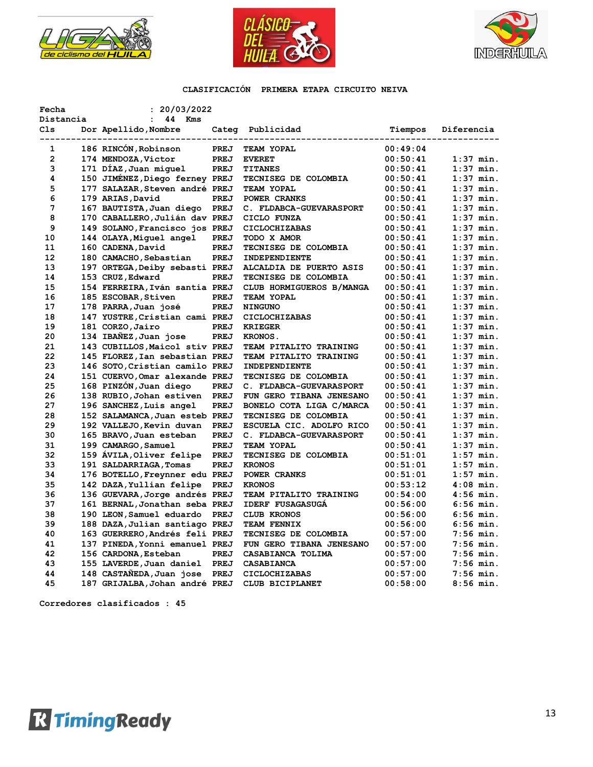





| Fecha                   |  | : 20/03/2022                                                                     |      |                          |                      |             |
|-------------------------|--|----------------------------------------------------------------------------------|------|--------------------------|----------------------|-------------|
| Distancia               |  | $\mathbf{r}$<br>44 Kms                                                           |      |                          |                      |             |
| Cls<br>---------------- |  | Dor Apellido, Nombre<br>lido,Nombre Categ Public<br>---------------------------- |      | Categ Publicidad         | Tiempos              | Diferencia  |
| $\mathbf{1}$            |  | 186 RINCÓN, Robinson                                                             | PREJ | TEAM YOPAL               | 00:49:04             |             |
| $\mathbf{2}$            |  | 174 MENDOZA, Victor                                                              | PREJ | <b>EVERET</b>            | 00:50:41             | $1:37$ min. |
| 3                       |  | 171 DIAZ,Juan miquel                                                             | PREJ | <b>TITANES</b>           | 00:50:41             | $1:37$ min. |
| 4                       |  | 150 JIMÉNEZ, Diego ferney PREJ                                                   |      | TECNISEG DE COLOMBIA     | 00:50:41             | $1:37$ min. |
| 5                       |  | 177 SALAZAR, Steven andré PREJ                                                   |      | <b>TEAM YOPAL</b>        | 00:50:41             | $1:37$ min. |
| 6                       |  | 179 ARIAS, David                                                                 | PREJ | POWER CRANKS             | 00:50:41             | $1:37$ min. |
| 7                       |  | 167 BAUTISTA, Juan diego PREJ                                                    |      | C. FLDABCA-GUEVARASPORT  | 00:50:41             | $1:37$ min. |
| 8                       |  | 170 CABALLERO, Julián dav PREJ                                                   |      | CICLO FUNZA              | 00:50:41             | $1:37$ min. |
| 9                       |  | 149 SOLANO, Francisco jos PREJ                                                   |      | <b>CICLOCHIZABAS</b>     | 00:50:41             | $1:37$ min. |
| 10                      |  | 144 OLAYA, Miguel angel                                                          | PREJ | TODO X AMOR              | 00:50:41             | $1:37$ min. |
| 11                      |  | 160 CADENA, David                                                                | PREJ | TECNISEG DE COLOMBIA     | 00:50:41             | $1:37$ min. |
| 12                      |  | 180 CAMACHO, Sebastian                                                           | PREJ | INDEPENDIENTE            | 00:50:41             | $1:37$ min. |
| 13                      |  | 197 ORTEGA, Deiby sebasti PREJ                                                   |      | ALCALDIA DE PUERTO ASIS  | 00:50:41             | $1:37$ min. |
| 14                      |  | 153 CRUZ, Edward                                                                 | PREJ | TECNISEG DE COLOMBIA     | 00:50:41             | $1:37$ min. |
| 15                      |  | 154 FERREIRA, Iván santia PREJ                                                   |      | CLUB HORMIGUEROS B/MANGA | 00:50:41             | $1:37$ min. |
| 16                      |  | 185 ESCOBAR, Stiven                                                              | PREJ | TEAM YOPAL               | 00:50:41             | $1:37$ min. |
| 17                      |  | 178 PARRA, Juan josé                                                             | PREJ | <b>NINGUNO</b>           | 00:50:41             | $1:37$ min. |
| 18                      |  | 147 YUSTRE, Cristian cami PREJ                                                   |      | <b>CICLOCHIZABAS</b>     | 00:50:41             | $1:37$ min. |
| 19                      |  | 181 CORZO, Jairo                                                                 | PREJ | <b>KRIEGER</b>           | 00:50:41             | $1:37$ min. |
| 20                      |  | 134 IBAÑEZ,Juan jose                                                             | PREJ | KRONOS.                  | 00:50:41             | $1:37$ min. |
| 21                      |  | 143 CUBILLOS, Maicol stiv PREJ                                                   |      | TEAM PITALITO TRAINING   | 00:50:41             | $1:37$ min. |
| 22                      |  | 145 FLOREZ, Ian sebastian PREJ                                                   |      | TEAM PITALITO TRAINING   | 00:50:41             | $1:37$ min. |
| 23                      |  | 146 SOTO, Cristian camilo PREJ                                                   |      | INDEPENDIENTE            | 00:50:41             | $1:37$ min. |
| 24                      |  | 151 CUERVO, Omar alexande PREJ                                                   |      | TECNISEG DE COLOMBIA     | 00:50:41             | $1:37$ min. |
| 25                      |  | 168 PINZÓN, Juan diego                                                           | PREJ | C. FLDABCA-GUEVARASPORT  | 00:50:41             | $1:37$ min. |
| 26                      |  | 138 RUBIO, Johan estiven                                                         | PREJ | FUN GERO TIBANA JENESANO | 00:50:41             | $1:37$ min. |
| 27                      |  | 196 SANCHEZ, Luis angel                                                          | PREJ | BONELO COTA LIGA C/MARCA | 00:50:41             | $1:37$ min. |
| 28                      |  | 152 SALAMANCA, Juan esteb PREJ                                                   |      | TECNISEG DE COLOMBIA     | 00:50:41             | $1:37$ min. |
| 29                      |  | 192 VALLEJO, Kevin duvan PREJ                                                    |      | ESCUELA CIC. ADOLFO RICO | 00:50:41             | $1:37$ min. |
| 30                      |  | 165 BRAVO, Juan esteban                                                          | PREJ | C. FLDABCA-GUEVARASPORT  | 00:50:41             | $1:37$ min. |
| 31                      |  | 199 CAMARGO, Samuel                                                              | PREJ | <b>TEAM YOPAL</b>        | 00:50:41             | $1:37$ min. |
| 32                      |  |                                                                                  |      |                          |                      | $1:57$ min. |
| 33                      |  | 159 AVILA, Oliver felipe PREJ<br>191 SALDARRIAGA, Tomas                          | PREJ | TECNISEG DE COLOMBIA     | 00:51:01<br>00:51:01 | $1:57$ min. |
| 34                      |  |                                                                                  |      | <b>KRONOS</b>            | 00:51:01             | $1:57$ min. |
|                         |  | 176 BOTELLO, Freynner edu PREJ                                                   |      | POWER CRANKS             |                      |             |
| 35                      |  | 142 DAZA, Yullian felipe                                                         | PREJ | <b>KRONOS</b>            | 00:53:12             | $4:08$ min. |
| 36                      |  | 136 GUEVARA, Jorge andrés PREJ                                                   |      | TEAM PITALITO TRAINING   | 00:54:00             | $4:56$ min. |
| 37                      |  | 161 BERNAL, Jonathan seba PREJ                                                   |      | <b>IDERF FUSAGASUGA</b>  | 00:56:00             | $6:56$ min. |
| 38                      |  | 190 LEON, Samuel eduardo                                                         | PREJ | CLUB KRONOS              | 00:56:00             | $6:56$ min. |
| 39                      |  | 188 DAZA, Julian santiago PREJ                                                   |      | <b>TEAM FENNIX</b>       | 00:56:00             | $6:56$ min. |
| 40                      |  | 163 GUERRERO, Andrés feli PREJ                                                   |      | TECNISEG DE COLOMBIA     | 00:57:00             | $7:56$ min. |
| 41                      |  | 137 PINEDA, Yonni emanuel PREJ                                                   |      | FUN GERO TIBANA JENESANO | 00:57:00             | $7:56$ min. |
| 42                      |  | 156 CARDONA, Esteban                                                             | PREJ | CASABIANCA TOLIMA        | 00:57:00             | $7:56$ min. |
| 43                      |  | 155 LAVERDE, Juan daniel PREJ                                                    |      | CASABIANCA               | 00:57:00             | $7:56$ min. |
| 44                      |  | 148 CASTANEDA, Juan jose PREJ                                                    |      | <b>CICLOCHIZABAS</b>     | 00:57:00             | $7:56$ min. |
| 45                      |  | 187 GRIJALBA, Johan andré PREJ                                                   |      | CLUB BICIPLANET          | 00:58:00             | $8:56$ min. |

**Corredores clasificados : 45**

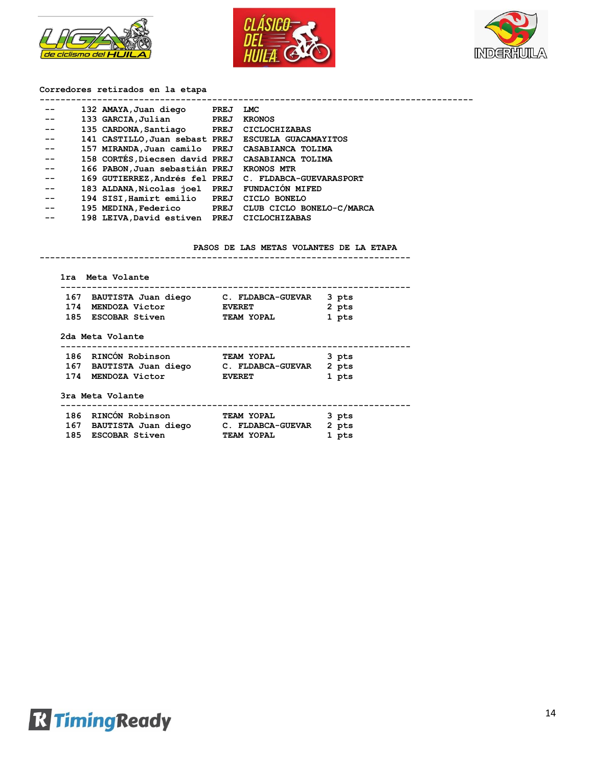





## **Corredores retirados en la etapa**

| --    | 132 AMAYA,Juan diego                                | PREJ | LMC                                                    |
|-------|-----------------------------------------------------|------|--------------------------------------------------------|
| $- -$ | 133 GARCIA, Julian                                  | PREJ | <b>KRONOS</b>                                          |
| $- -$ | 135 CARDONA, Santiago                               | PREJ | <b>CICLOCHIZABAS</b>                                   |
| --    | 141 CASTILLO, Juan sebast PREJ ESCUELA GUACAMAYITOS |      |                                                        |
| --    | 157 MIRANDA, Juan camilo PREJ CASABIANCA TOLIMA     |      |                                                        |
| $- -$ | 158 CORTÉS, Diecsen david PREJ CASABIANCA TOLIMA    |      |                                                        |
| --    | 166 PABON, Juan sebastián PREJ KRONOS MTR           |      |                                                        |
| --    |                                                     |      | 169 GUTIERREZ, Andrés fel PREJ C. FLDABCA-GUEVARASPORT |
| $- -$ | 183 ALDANA, Nicolas joel PREJ FUNDACIÓN MIFED       |      |                                                        |
| $- -$ | 194 SISI, Hamirt emilio PREJ                        |      | CICLO BONELO                                           |
| $- -$ |                                                     |      | 195 MEDINA, Federico PREJ CLUB CICLO BONELO-C/MARCA    |
| --    | 198 LEIVA, David estiven PREJ CICLOCHIZABAS         |      |                                                        |
|       |                                                     |      |                                                        |

**-----------------------------------------------------------------------**

#### **PASOS DE LAS METAS VOLANTES DE LA ETAPA**

| 167 BAUTISTA Juan diego C. FLDABCA-GUEVAR |                   | 3 pts |
|-------------------------------------------|-------------------|-------|
| 174 MENDOZA Victor                        | <b>EVERET</b>     | 2 pts |
| 185 ESCOBAR Stiven                        | <b>TEAM YOPAL</b> | 1 pts |
| 2da Meta Volante                          |                   |       |
| 186 RINCÓN Robinson TEAM YOPAL            |                   | 3 pts |
| 167 BAUTISTA Juan diego C. FLDABCA-GUEVAR |                   | 2 pts |
|                                           |                   |       |
| 174 MENDOZA Victor                        | <b>EVERET</b>     | 1 pts |
| 3ra Meta Volante                          |                   |       |
|                                           |                   | 3 pts |
| 167 BAUTISTA Juan diego C. FLDABCA-GUEVAR |                   | 2 pts |

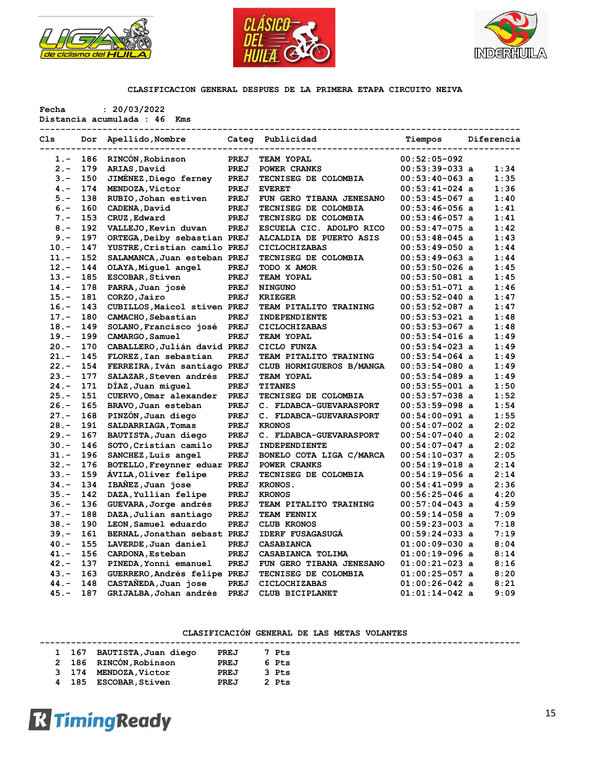





|         |            |                                                                            |      | CLASIFICACION GENERAL DESPUES DE LA PRIMERA ETAPA CIRCUITO NEIVA |                    |      |
|---------|------------|----------------------------------------------------------------------------|------|------------------------------------------------------------------|--------------------|------|
| Fecha   |            | : 20/03/2022<br>Distancia acumulada : 46 Kms<br>-------------------------- |      | ----------------------<br>-------------                          |                    |      |
| Cls     |            | Dor Apellido, Nombre Categ Publicidad                                      |      |                                                                  | Tiempos Diferencia |      |
|         |            | 1.- 186 RINCÓN, Robinson                                                   | PREJ | TEAM YOPAL                                                       | $00:52:05-092$     |      |
|         |            | 2.- 179 ARIAS, David                                                       | PREJ | POWER CRANKS                                                     | $00:53:39-033$ a   | 1:34 |
|         | $3. - 150$ | JIMÉNEZ,Diego ferney                                                       | PREJ | TECNISEG DE COLOMBIA                                             | $00:53:40-063$ a   | 1:35 |
|         |            | 4.- 174 MENDOZA, Victor                                                    | PREJ | <b>EVERET</b>                                                    | $00:53:41-024$ a   | 1:36 |
| $5 -$   | 138        | RUBIO, Johan estiven                                                       | PREJ | FUN GERO TIBANA JENESANO                                         | $00:53:45-067$ a   | 1:40 |
| $6 -$   | 160        | CADENA, David                                                              | PREJ | TECNISEG DE COLOMBIA                                             | $00:53:46-056$ a   | 1:41 |
| $7 -$   | 153        | CRUZ, Edward                                                               | PREJ | TECNISEG DE COLOMBIA                                             | $00:53:46-057$ a   | 1:41 |
| $8 -$   | 192        | VALLEJO, Kevin duvan                                                       | PREJ | ESCUELA CIC. ADOLFO RICO                                         | $00:53:47-075$ a   | 1:42 |
| $9 -$   | 197        | ORTEGA, Deiby sebastian PREJ                                               |      | ALCALDIA DE PUERTO ASIS                                          | $00:53:48-045$ a   | 1:43 |
| $10. -$ | 147        | YUSTRE, Cristian camilo PREJ                                               |      | CICLOCHIZABAS                                                    | $00:53:49-050$ a   | 1:44 |
| $11. -$ | 152        | SALAMANCA, Juan esteban PREJ                                               |      | TECNISEG DE COLOMBIA                                             | $00:53:49-063$ a   | 1:44 |
| $12 -$  | 144        | OLAYA, Miquel angel                                                        | PREJ | TODO X AMOR                                                      | $00:53:50-026$ a   | 1:45 |
| $13. -$ | 185        | <b>ESCOBAR, Stiven</b>                                                     | PREJ | TEAM YOPAL                                                       | $00:53:50-081$ a   | 1:45 |
| $14. -$ | 178        | PARRA, Juan josé                                                           | PREJ | <b>NINGUNO</b>                                                   | $00:53:51-071$ a   | 1:46 |
| $15. -$ | 181        | CORZO, Jairo                                                               | PREJ | <b>KRIEGER</b>                                                   | $00:53:52-040$ a   | 1:47 |
| $16. -$ | 143        | CUBILLOS, Maicol stiven PREJ                                               |      | TEAM PITALITO TRAINING                                           | $00:53:52-087$ a   | 1:47 |
| $17. -$ | 180        | CAMACHO, Sebastian                                                         | PREJ | INDEPENDIENTE                                                    | $00:53:53-021$ a   | 1:48 |
| $18. -$ | 149        | SOLANO, Francisco josé PREJ                                                |      | <b>CICLOCHIZABAS</b>                                             | $00:53:53-067$ a   | 1:48 |
| $19. -$ | 199        | CAMARGO, Samuel                                                            | PREJ | TEAM YOPAL                                                       | $00:53:54-016$ a   | 1:49 |
| $20 -$  | 170        | CABALLERO, Julián david PREJ                                               |      | CICLO FUNZA                                                      | $00:53:54-023$ a   | 1:49 |
| $21 -$  | 145        | FLOREZ, Ian sebastian                                                      | PREJ | TEAM PITALITO TRAINING                                           | $00:53:54-064$ a   | 1:49 |
| $22 -$  | 154        | FERREIRA, Iván santiago PREJ                                               |      | CLUB HORMIGUEROS B/MANGA                                         | $00:53:54-080$ a   | 1:49 |
| $23 -$  | 177        | SALAZAR, Steven andrés                                                     | PREJ | TEAM YOPAL                                                       | $00:53:54-089$ a   | 1:49 |
| $24. -$ | 171        | DÍAZ, Juan miquel                                                          | PREJ | <b>TITANES</b>                                                   | $00:53:55-001$ a   | 1:50 |
| $25. -$ | 151        | CUERVO, Omar alexander                                                     | PREJ | TECNISEG DE COLOMBIA                                             | $00:53:57-038$ a   | 1:52 |
| $26. -$ | 165        | BRAVO, Juan esteban                                                        | PREJ | C. FLDABCA-GUEVARASPORT                                          | $00:53:59-098$ a   | 1:54 |
| $27. -$ | 168        | PINZON, Juan diego                                                         | PREJ | C. FLDABCA-GUEVARASPORT                                          | $00:54:00-091$ a   | 1:55 |
| $28. -$ | 191        | SALDARRIAGA, Tomas                                                         | PREJ | <b>KRONOS</b>                                                    | $00:54:07-002$ a   | 2:02 |
| $29. -$ | 167        | BAUTISTA, Juan diego                                                       | PREJ | C. FLDABCA-GUEVARASPORT                                          | $00:54:07-040$ a   | 2:02 |
| $30 -$  | 146        | SOTO, Cristian camilo                                                      | PREJ | <b>INDEPENDIENTE</b>                                             | $00:54:07-047$ a   | 2:02 |
| $31 -$  | 196        | SANCHEZ, Luis angel                                                        | PREJ | BONELO COTA LIGA C/MARCA                                         | $00:54:10-037$ a   | 2:05 |
| $32 -$  | 176        | BOTELLO, Freynner eduar PREJ                                               |      | POWER CRANKS                                                     | $00:54:19-018$ a   | 2:14 |
| $33 -$  | 159        | AVILA, Oliver felipe                                                       | PREJ | TECNISEG DE COLOMBIA                                             | $00:54:19-056$ a   | 2:14 |
| $34. -$ | 134        | IBAÑEZ, Juan jose                                                          | PREJ | KRONOS.                                                          | $00:54:41-099$ a   | 2:36 |
| $35. -$ | 142        | DAZA, Yullian felipe                                                       | PREJ | <b>KRONOS</b>                                                    | $00:56:25-046$ a   | 4:20 |
| $36. -$ | 136        | GUEVARA, Jorge andrés                                                      | PREJ | TEAM PITALITO TRAINING                                           | $00:57:04-043$ a   | 4:59 |
| $37. -$ | 188        | DAZA, Julian santiago                                                      | PREJ | TEAM FENNIX                                                      | $00:59:14-058$ a   | 7:09 |
| $38 -$  | 190        | LEON, Samuel eduardo                                                       | PREJ | <b>CLUB KRONOS</b>                                               | $00:59:23-003$ a   | 7:18 |
| $39. -$ | 161        | BERNAL, Jonathan sebast PREJ                                               |      | <b>IDERF FUSAGASUGA</b>                                          | $00:59:24-033$ a   | 7:19 |
| $40. -$ | 155        | LAVERDE, Juan daniel                                                       | PREJ | CASABIANCA                                                       | $01:00:09-030$ a   | 8:04 |
| $41. -$ | 156        | CARDONA, Esteban                                                           | PREJ | CASABIANCA TOLIMA                                                | $01:00:19-096$ a   | 8:14 |
| $42 -$  | 137        | PINEDA, Yonni emanuel                                                      | PREJ | FUN GERO TIBANA JENESANO                                         | $01:00:21-023$ a   | 8:16 |

### **CLASIFICACIÓN GENERAL DE LAS METAS VOLANTES**

|  | 1 167 BAUTISTA, Juan diego | PREJ | 7 Pts |  |  |  |
|--|----------------------------|------|-------|--|--|--|
|  | 2 186 RINCÓN, Robinson     | PREJ | 6 Pts |  |  |  |
|  | 3 174 MENDOZA, Victor      | PREJ | 3 Pts |  |  |  |
|  | 185 ESCOBAR, Stiven        | PREJ | 2 Pts |  |  |  |

 **43.- 163 GUERRERO,Andrés felipe PREJ TECNISEG DE COLOMBIA 01:00:25-057 a 8:20 44.- 148 CASTAÑEDA,Juan jose PREJ CICLOCHIZABAS 01:00:26-042 a 8:21 45.- 187 GRIJALBA,Johan andrés PREJ CLUB BICIPLANET 01:01:14-042 a 9:09**

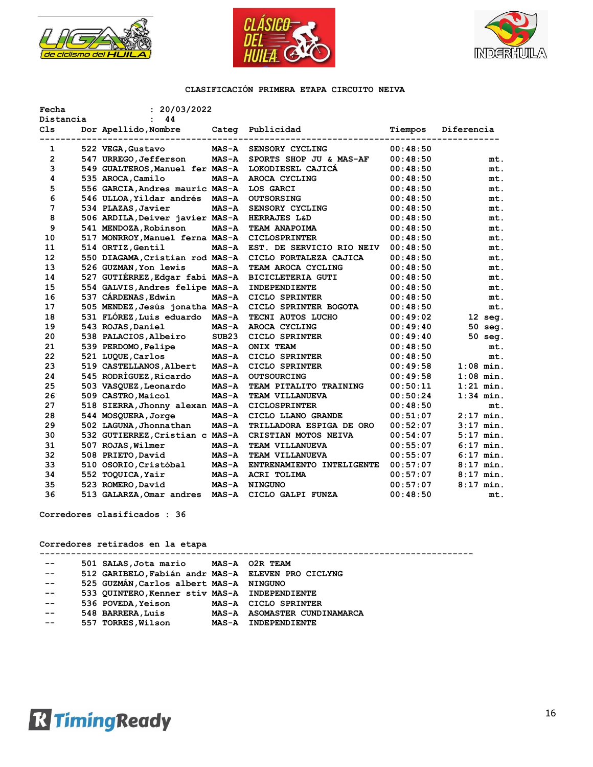





| Fecha               | : 20/03/2022                          |              |                                  |          |             |
|---------------------|---------------------------------------|--------------|----------------------------------|----------|-------------|
| Distancia           | 44<br>$\mathbf{r}$                    |              |                                  |          |             |
| C <sub>1s</sub>     | Dor Apellido, Nombre Categ Publicidad |              |                                  | Tiempos  | Diferencia  |
|                     |                                       |              | -------------------------------- |          |             |
| 1<br>$\overline{2}$ | 522 VEGA, Gustavo                     | <b>MAS-A</b> | SENSORY CYCLING                  | 00:48:50 |             |
| 3                   | 547 URREGO, Jefferson                 | <b>MAS-A</b> | SPORTS SHOP JU & MAS-AF          | 00:48:50 | mt.         |
|                     | 549 GUALTEROS, Manuel fer MAS-A       |              | LOKODIESEL CAJICA                | 00:48:50 | mt.         |
| 4                   | 535 AROCA, Camilo                     | <b>MAS-A</b> | AROCA CYCLING                    | 00:48:50 | mt.         |
| 5                   | 556 GARCIA, Andres mauric MAS-A       |              | LOS GARCI                        | 00:48:50 | mt.         |
| 6                   | 546 ULLOA, Yildar andrés MAS-A        |              | <b>OUTSORSING</b>                | 00:48:50 | mt.         |
| 7                   | 534 PLAZAS, Javier                    | $MAS - A$    | SENSORY CYCLING                  | 00:48:50 | mt.         |
| 8                   | 506 ARDILA, Deiver javier MAS-A       |              | HERRAJES L&D                     | 00:48:50 | mt.         |
| 9                   | 541 MENDOZA, Robinson                 | <b>MAS-A</b> | TEAM ANAPOIMA                    | 00:48:50 | mt.         |
| 10                  | 517 MONRROY, Manuel ferna MAS-A       |              | <b>CICLOSPRINTER</b>             | 00:48:50 | mt.         |
| 11                  | 514 ORTIZ, Gentil                     | <b>MAS-A</b> | EST. DE SERVICIO RIO NEIV        | 00:48:50 | mt.         |
| $12 \overline{ }$   | 550 DIAGAMA, Cristian rod MAS-A       |              | CICLO FORTALEZA CAJICA           | 00:48:50 | mt.         |
| 13                  | 526 GUZMAN, Yon lewis                 | <b>MAS-A</b> | TEAM AROCA CYCLING               | 00:48:50 | mt.         |
| 14                  | 527 GUTIÉRREZ, Edgar fabi MAS-A       |              | <b>BICICLETERIA GUTI</b>         | 00:48:50 | mt.         |
| 15                  | 554 GALVIS, Andres felipe MAS-A       |              | INDEPENDIENTE                    | 00:48:50 | mt.         |
| 16                  | 537 CÁRDENAS, Edwin                   | <b>MAS-A</b> | CICLO SPRINTER                   | 00:48:50 | mt.         |
| 17                  | 505 MENDEZ, Jesús jonatha MAS-A       |              | CICLO SPRINTER BOGOTA            | 00:48:50 | mt.         |
| 18                  | 531 FLÓREZ, Luis eduardo MAS-A        |              | TECNI AUTOS LUCHO                | 00:49:02 | $12$ seg.   |
| 19                  | 543 ROJAS, Daniel                     | <b>MAS-A</b> | AROCA CYCLING                    | 00:49:40 | 50 seg.     |
| 20                  | 538 PALACIOS, Albeiro                 | SUB23        | CICLO SPRINTER                   | 00:49:40 | 50 seg.     |
| 21                  | 539 PERDOMO, Felipe                   | <b>MAS-A</b> | <b>ONIX TEAM</b>                 | 00:48:50 | mt.         |
| 22                  | 521 LUQUE, Carlos                     | <b>MAS-A</b> | CICLO SPRINTER                   | 00:48:50 | mt.         |
| 23                  | 519 CASTELLANOS, Albert               | <b>MAS-A</b> | CICLO SPRINTER                   | 00:49:58 | $1:08$ min. |
| 24                  | 545 RODRÍGUEZ, Ricardo                | <b>MAS-A</b> | <b>OUTSOURCING</b>               | 00:49:58 | $1:08$ min. |
| 25                  | 503 VASQUEZ, Leonardo                 | <b>MAS-A</b> | TEAM PITALITO TRAINING           | 00:50:11 | $1:21$ min. |
| 26                  | 509 CASTRO, Maicol                    | <b>MAS-A</b> | TEAM VILLANUEVA                  | 00:50:24 | $1:34$ min. |
| 27                  | 518 SIERRA, Jhonny alexan MAS-A       |              | <b>CICLOSPRINTER</b>             | 00:48:50 | mt.         |
| 28                  | 544 MOSQUERA, Jorge                   | <b>MAS-A</b> | CICLO LLANO GRANDE               | 00:51:07 | $2:17$ min. |
| 29                  | 502 LAGUNA, Jhonnathan                | <b>MAS-A</b> | TRILLADORA ESPIGA DE ORO         | 00:52:07 | $3:17$ min. |
| 30                  | 532 GUTIERREZ, Cristian c MAS-A       |              | CRISTIAN MOTOS NEIVA             | 00:54:07 | $5:17$ min. |
| 31                  | 507 ROJAS, Wilmer                     | <b>MAS-A</b> | TEAM VILLANUEVA                  | 00:55:07 | $6:17$ min. |
| 32                  | 508 PRIETO, David                     | <b>MAS-A</b> | TEAM VILLANUEVA                  | 00:55:07 | $6:17$ min. |
| 33                  | 510 OSORIO, Cristóbal                 | <b>MAS-A</b> | ENTRENAMIENTO INTELIGENTE        | 00:57:07 | $8:17$ min. |
| 34                  | 552 TOQUICA, Yair                     | <b>MAS-A</b> | ACRI TOLIMA                      | 00:57:07 | $8:17$ min. |
| 35                  | 523 ROMERO, David                     | <b>MAS-A</b> | <b>NINGUNO</b>                   | 00:57:07 | $8:17$ min. |
| 36                  | 513 GALARZA, Omar andres MAS-A        |              | CICLO GALPI FUNZA                | 00:48:50 | mt.         |

**Corredores clasificados : 36**

**Corredores retirados en la etapa**

| $- -$ | 501 SALAS, Jota mario MAS-A 02R TEAM               |                              |
|-------|----------------------------------------------------|------------------------------|
| $- -$ | 512 GARIBELO, Fabián andr MAS-A ELEVEN PRO CICLYNG |                              |
| $- -$ | 525 GUZMÁN, Carlos albert MAS-A NINGUNO            |                              |
| $- -$ | 533 QUINTERO, Kenner stiv MAS-A INDEPENDIENTE      |                              |
| --    | 536 POVEDA, Yeison                                 | MAS-A CICLO SPRINTER         |
| $- -$ | 548 BARRERA, Luis                                  | MAS-A ASOMASTER CUNDINAMARCA |
| $- -$ | 557 TORRES, Wilson                                 | MAS-A INDEPENDIENTE          |
|       |                                                    |                              |

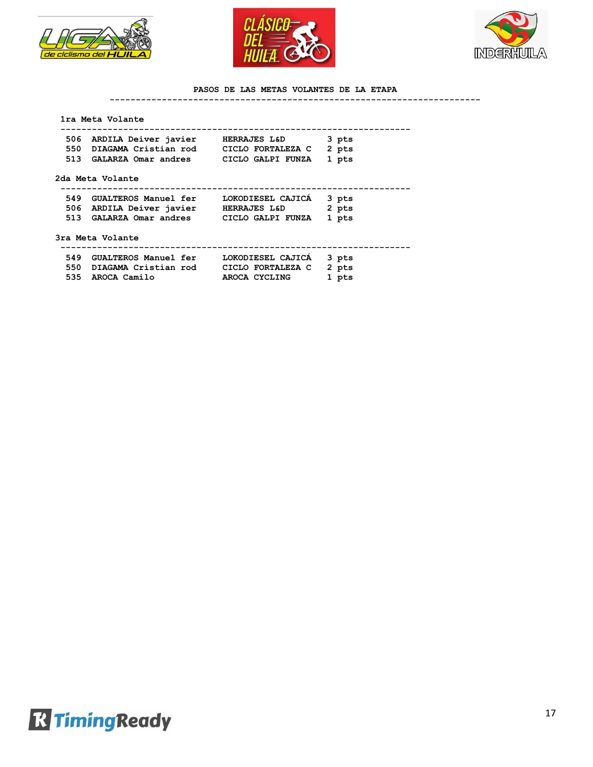





### **PASOS DE LAS METAS VOLANTES DE LA ETAPA**

**-----------------------------------------------------------------------**

|     | 1ra Meta Volante                           |                         |       |  |
|-----|--------------------------------------------|-------------------------|-------|--|
|     | 506 ARDILA Deiver javier                   | <b>HERRAJES L&amp;D</b> | 3 pts |  |
|     | 550 DIAGAMA Cristian rod CICLO FORTALEZA C |                         | 2 pts |  |
|     | 513 GALARZA Omar andres CICLO GALPI FUNZA  |                         | 1 pts |  |
|     | 2da Meta Volante                           |                         |       |  |
|     | 549 GUALTEROS Manuel fer                   | LOKODIESEL CAJICA       | 3 pts |  |
|     | 506 ARDILA Deiver javier HERRAJES L&D      |                         | 2 pts |  |
|     | 513 GALARZA Omar andres CICLO GALPI FUNZA  |                         | 1 pts |  |
|     | 3ra Meta Volante                           |                         |       |  |
|     | 549 GUALTEROS Manuel fer                   | LOKODIESEL CAJICA       | 3 pts |  |
|     | 550 DIAGAMA Cristian rod CICLO FORTALEZA C |                         | 2 pts |  |
| 535 | AROCA Camilo                               | AROCA CYCLING           | 1 pts |  |
|     |                                            |                         |       |  |

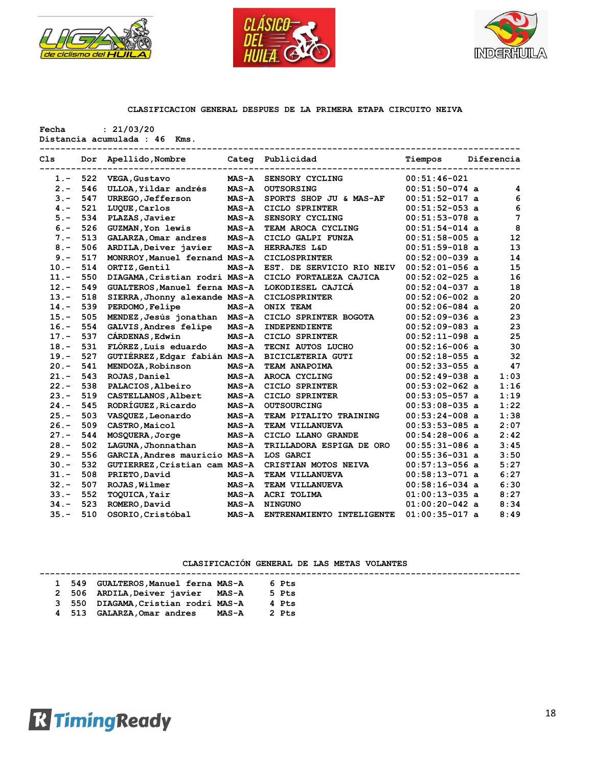





**Fecha : 21/03/20**

|  | Distancia acumulada : 46 Kms. |  |  |  |
|--|-------------------------------|--|--|--|
|--|-------------------------------|--|--|--|

| C <sub>1s</sub> | Dor | Apellido, Nombre              |              | Categ Publicidad          | Tiempos          | Diferencia |
|-----------------|-----|-------------------------------|--------------|---------------------------|------------------|------------|
| $1 -$           | 522 | VEGA, Gustavo                 | $MAS - A$    | SENSORY CYCLING           | $00:51:46-021$   |            |
| $2 -$           | 546 | ULLOA, Yildar andrés          | $MAS-A$      | <b>OUTSORSING</b>         | $00:51:50-074$ a | 4          |
| $3 -$           | 547 | <b>URREGO, Jefferson</b>      | $MAS - A$    | SPORTS SHOP JU & MAS-AF   | $00:51:52-017$ a | 6          |
| $4. -$          | 521 | LUQUE, Carlos                 | $MAS - A$    | CICLO SPRINTER            | $00:51:52-053$ a | 6          |
| $5. -$          | 534 | PLAZAS, Javier                | $MAS - A$    | SENSORY CYCLING           | $00:51:53-078$ a | 7          |
| $6. -$          | 526 | <b>GUZMAN, Yon lewis</b>      | $MAS - A$    | TEAM AROCA CYCLING        | $00:51:54-014$ a | 8          |
| $7. -$          | 513 | GALARZA, Omar andres          | <b>MAS-A</b> | CICLO GALPI FUNZA         | $00:51:58-005$ a | 12         |
| $8 -$           | 506 | ARDILA, Deiver javier         | $MAS - A$    | HERRAJES L&D              | $00:51:59-018$ a | 13         |
| $9 -$           | 517 | MONRROY, Manuel fernand MAS-A |              | <b>CICLOSPRINTER</b>      | $00:52:00-039$ a | 14         |
| $10. -$         | 514 | ORTIZ, Gentil                 | $MAS - A$    | EST. DE SERVICIO RIO NEIV | $00:52:01-056$ a | 15         |
| $11. -$         | 550 | DIAGAMA, Cristian rodri MAS-A |              | CICLO FORTALEZA CAJICA    | $00:52:02-025$ a | 16         |
| $12 -$          | 549 | GUALTEROS, Manuel ferna MAS-A |              | LOKODIESEL CAJICÁ         | $00:52:04-037$ a | 18         |
| $13. -$         | 518 | SIERRA, Jhonny alexande MAS-A |              | <b>CICLOSPRINTER</b>      | $00:52:06-002$ a | 20         |
| $14. -$         | 539 | PERDOMO, Felipe               | $MAS - A$    | <b>ONIX TEAM</b>          | $00:52:06-084$ a | 20         |
| $15. -$         | 505 | MENDEZ, Jesús jonathan        | $MAS-A$      | CICLO SPRINTER BOGOTA     | $00:52:09-036$ a | 23         |
| $16. -$         | 554 | GALVIS, Andres felipe         | MAS-A        | INDEPENDIENTE             | $00:52:09-083$ a | 23         |
| $17. -$         | 537 | CÁRDENAS, Edwin               | $MAS - A$    | CICLO SPRINTER            | $00:52:11-098$ a | 25         |
| $18. -$         | 531 | FLÓREZ, Luis eduardo          | $MAS - A$    | TECNI AUTOS LUCHO         | $00:52:16-006$ a | 30         |
| $19. -$         | 527 | GUTIÉRREZ, Edgar fabián MAS-A |              | <b>BICICLETERIA GUTI</b>  | $00:52:18-055$ a | 32         |
| $20. -$         | 541 | MENDOZA, Robinson             | $MAS - A$    | TEAM ANAPOIMA             | $00:52:33-055$ a | 47         |
| $21. -$         | 543 | ROJAS, Daniel                 | $MAS - A$    | AROCA CYCLING             | $00:52:49-038$ a | 1:03       |
| $22 -$          | 538 | PALACIOS, Albeiro             | $MAS - A$    | CICLO SPRINTER            | $00:53:02-062$ a | 1:16       |
| $23 -$          | 519 | CASTELLANOS, Albert           | $MAS-A$      | CICLO SPRINTER            | $00:53:05-057$ a | 1:19       |
| $24. -$         | 545 | RODRÍGUEZ, Ricardo            | $MAS - A$    | <b>OUTSOURCING</b>        | $00:53:08-035$ a | 1:22       |
| $25. -$         | 503 | VASQUEZ, Leonardo             | $MAS - A$    | TEAM PITALITO TRAINING    | $00:53:24-008$ a | 1:38       |
| $26. -$         | 509 | CASTRO, Maicol                | $MAS - A$    | TEAM VILLANUEVA           | $00:53:53-085$ a | 2:07       |
| $27 -$          | 544 | MOSQUERA, Jorge               | $MAS - A$    | CICLO LLANO GRANDE        | $00:54:28-006$ a | 2:42       |
| $28. -$         | 502 | LAGUNA, Jhonnathan            | $MAS - A$    | TRILLADORA ESPIGA DE ORO  | $00:55:31-086$ a | 3:45       |
| $29. -$         | 556 | GARCIA, Andres mauricio MAS-A |              | LOS GARCI                 | $00:55:36-031$ a | 3:50       |
| $30 -$          | 532 | GUTIERREZ, Cristian cam MAS-A |              | CRISTIAN MOTOS NEIVA      | $00:57:13-056$ a | 5:27       |
| $31 -$          | 508 | PRIETO, David                 | $MAS - A$    | TEAM VILLANUEVA           | $00:58:13-071$ a | 6:27       |
| $32 -$          | 507 | ROJAS, Wilmer                 | $MAS - A$    | TEAM VILLANUEVA           | $00:58:16-034$ a | 6:30       |
| $33. -$         | 552 | TOQUICA, Yair                 | $MAS - A$    | <b>ACRI TOLIMA</b>        | $01:00:13-035$ a | 8:27       |
| $34. -$         | 523 | ROMERO, David                 | $MAS - A$    | <b>NINGUNO</b>            | $01:00:20-042$ a | 8:34       |
| $35. -$         | 510 | OSORIO, Cristóbal             | $MAS - A$    | ENTRENAMIENTO INTELIGENTE | $01:00:35-017$ a | 8:49       |

|  | 1 549 GUALTEROS, Manuel ferna MAS-A |              | 6 Pts |
|--|-------------------------------------|--------------|-------|
|  | 2 506 ARDILA, Deiver javier MAS-A   |              | 5 Pts |
|  | 3 550 DIAGAMA, Cristian rodri MAS-A |              | 4 Pts |
|  | 4 513 GALARZA, Omar andres          | <b>MAS-A</b> | 2 Pts |

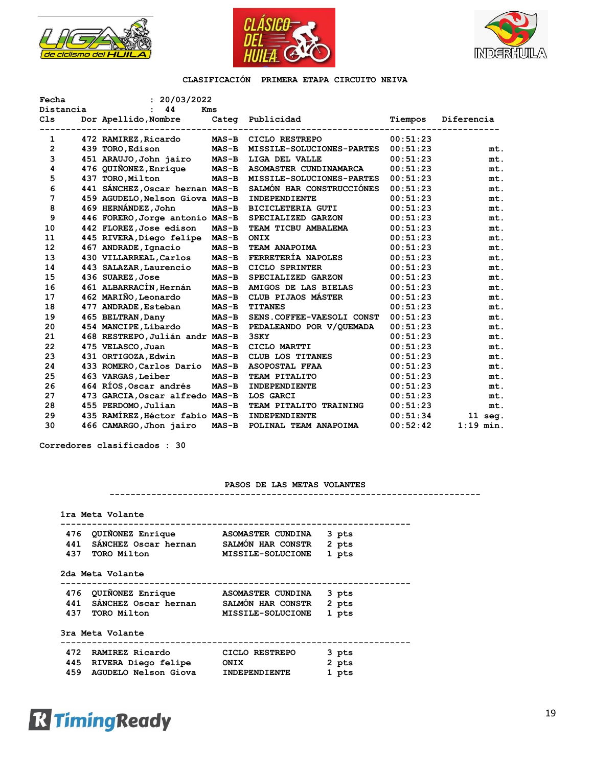





| Fecha          | : 20/03/2022                    |              |                           |          |             |
|----------------|---------------------------------|--------------|---------------------------|----------|-------------|
| Distancia      | 44                              | Kms          |                           |          |             |
| Cls            | Dor Apellido, Nombre            | Categ        | Publicidad                | Tiempos  | Diferencia  |
|                |                                 |              |                           |          |             |
| 1              | 472 RAMIREZ, Ricardo            |              | MAS-B CICLO RESTREPO      | 00:51:23 |             |
| $\overline{2}$ | 439 TORO, Edison                | <b>MAS-B</b> | MISSILE-SOLUCIONES-PARTES | 00:51:23 | mt.         |
| 3              | 451 ARAUJO, John jairo          | <b>MAS-B</b> | LIGA DEL VALLE            | 00:51:23 | mt.         |
| 4              | 476 QUIÑONEZ, Enrique           | $MAS-B$      | ASOMASTER CUNDINAMARCA    | 00:51:23 | mt.         |
| 5              | 437 TORO, Milton                | $MAS-B$      | MISSILE-SOLUCIONES-PARTES | 00:51:23 | mt.         |
| 6              | 441 SANCHEZ, Oscar hernan MAS-B |              | SALMÓN HAR CONSTRUCCIÓNES | 00:51:23 | mt.         |
| $\overline{7}$ | 459 AGUDELO, Nelson Giova MAS-B |              | INDEPENDIENTE             | 00:51:23 | mt.         |
| 8              | 469 HERNÁNDEZ, John             | $MAS - B$    | <b>BICICLETERIA GUTI</b>  | 00:51:23 | mt.         |
| 9              | 446 FORERO, Jorge antonio MAS-B |              | SPECIALIZED GARZON        | 00:51:23 | mt.         |
| 10             | 442 FLOREZ, Jose edison         | $MAS-B$      | TEAM TICBU AMBALEMA       | 00:51:23 | mt.         |
| 11             | 445 RIVERA, Diego felipe MAS-B  |              | <b>ONIX</b>               | 00:51:23 | mt.         |
| 12             | 467 ANDRADE, Ignacio            | <b>MAS-B</b> | TEAM ANAPOIMA             | 00:51:23 | mt.         |
| 13             | 430 VILLARREAL, Carlos          | $MAS-B$      | FERRETERÍA NAPOLES        | 00:51:23 | mt.         |
| 14             | 443 SALAZAR, Laurencio          | $MAS-B$      | CICLO SPRINTER            | 00:51:23 | mt.         |
| 15             | 436 SUAREZ, Jose                | $MAS-B$      | SPECIALIZED GARZON        | 00:51:23 | mt.         |
| 16             | 461 ALBARRACÍN, Hernán          | $MAS-B$      | AMIGOS DE LAS BIELAS      | 00:51:23 | mt.         |
| 17             | 462 MARIÑO, Leonardo            | $MAS - B$    | CLUB PIJAOS MÁSTER        | 00:51:23 | mt.         |
| 18             | 477 ANDRADE, Esteban            | $MAS-B$      | <b>TITANES</b>            | 00:51:23 | mt.         |
| 19             | 465 BELTRAN, Dany               | $MAS-B$      | SENS.COFFEE-VAESOLI CONST | 00:51:23 | mt.         |
| 20             | 454 MANCIPE, Libardo            | $MAS-B$      | PEDALEANDO POR V/QUEMADA  | 00:51:23 | mt.         |
| 21             | 468 RESTREPO, Julián andr MAS-B |              | 3SKY                      | 00:51:23 | mt.         |
| 22             | 475 VELASCO, Juan               | $MAS-B$      | CICLO MARTTI              | 00:51:23 | mt.         |
| 23             | 431 ORTIGOZA, Edwin             | $MAS-B$      | CLUB LOS TITANES          | 00:51:23 | mt.         |
| 24             | 433 ROMERO, Carlos Dario        | <b>MAS-B</b> | ASOPOSTAL FFAA            | 00:51:23 | mt.         |
| 25             | 463 VARGAS, Leiber              | $MAS-B$      | TEAM PITALITO             | 00:51:23 | mt.         |
| 26             | 464 RÍOS, Oscar andrés          | $MAS-B$      | INDEPENDIENTE             | 00:51:23 | mt.         |
| 27             | 473 GARCIA, Oscar alfredo MAS-B |              | LOS GARCI                 | 00:51:23 | mt.         |
| 28             | 455 PERDOMO, Julian             | $MAS-B$      | TEAM PITALITO TRAINING    | 00:51:23 | mt.         |
| 29             | 435 RAMÍREZ, Héctor fabio MAS-B |              | INDEPENDIENTE             | 00:51:34 | 11 seg.     |
| 30             | 466 CAMARGO, Jhon jairo         | $MAS-B$      | POLINAL TEAM ANAPOIMA     | 00:52:42 | $1:19$ min. |

**Corredores clasificados : 30**

## **PASOS DE LAS METAS VOLANTES**

**-----------------------------------------------------------------------**

 **1ra Meta Volante**

| 476 QUIÑONEZ Enrique     | ASOMASTER CUNDINA 3 pts |  |
|--------------------------|-------------------------|--|
| 441 SÁNCHEZ Oscar hernan | SALMÓN HAR CONSTR 2 pts |  |
| 437 TORO Milton          | MISSILE-SOLUCIONE 1 pts |  |

 **2da Meta Volante**

| 476 QUIÑONEZ Enrique     | ASOMASTER CUNDINA 3 pts |  |
|--------------------------|-------------------------|--|
| 441 SÁNCHEZ Oscar hernan | SALMÓN HAR CONSTR 2 pts |  |

| 437 TORO Milton | MISSILE-SOLUCIONE 1 pts |  |
|-----------------|-------------------------|--|
|                 |                         |  |

 **3ra Meta Volante**

| 472 RAMIREZ Ricardo      | CICLO RESTREPO       | 3 pts |  |
|--------------------------|----------------------|-------|--|
| 445 RIVERA Diego felipe  | ONIX                 | 2 pts |  |
| 459 AGUDELO Nelson Giova | <b>INDEPENDIENTE</b> | 1 pts |  |

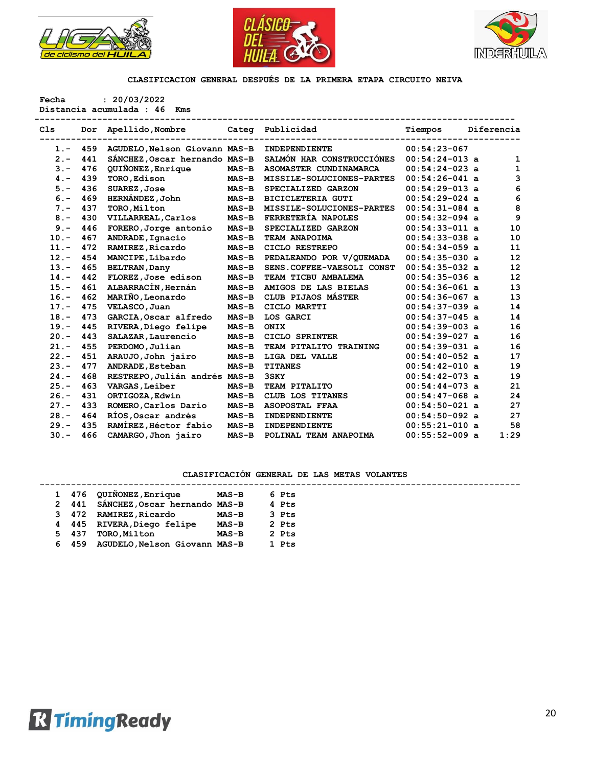





**Fecha : 20/03/2022**

**Distancia acumulada : 46 Kms** 

| C <sub>1s</sub> | Dor | Apellido, Nombre              |         | Categ Publicidad          | Tiempos          | Diferencia |
|-----------------|-----|-------------------------------|---------|---------------------------|------------------|------------|
| $1. -$          | 459 | AGUDELO, Nelson Giovann MAS-B |         | INDEPENDIENTE             | $00:54:23-067$   |            |
| $2 -$           | 441 | SÁNCHEZ, Oscar hernando MAS-B |         | SALMÓN HAR CONSTRUCCIÓNES | $00:54:24-013$ a | 1          |
| $3 -$           | 476 | QUIÑONEZ, Enrique             | $MAS-B$ | ASOMASTER CUNDINAMARCA    | $00:54:24-023$ a | 1          |
| $4 -$           | 439 | TORO, Edison                  | $MAS-B$ | MISSILE-SOLUCIONES-PARTES | $00:54:26-041$ a | 3          |
| $5. -$          | 436 | SUAREZ, Jose                  | $MAS-B$ | SPECIALIZED GARZON        | $00:54:29-013$ a | 6          |
| $6. -$          | 469 | HERNÁNDEZ, John               | $MAS-B$ | <b>BICICLETERIA GUTI</b>  | $00:54:29-024$ a | 6          |
| $7 -$           | 437 | TORO, Milton                  | $MAS-B$ | MISSILE-SOLUCIONES-PARTES | $00:54:31-084$ a | 8          |
| $8 -$           | 430 | VILLARREAL, Carlos            | $MAS-B$ | FERRETERÍA NAPOLES        | $00:54:32-094$ a | 9          |
| $9 -$           | 446 | FORERO, Jorge antonio         | $MAS-B$ | SPECIALIZED GARZON        | $00:54:33-011$ a | 10         |
| $10. -$         | 467 | ANDRADE, Ignacio              | $MAS-B$ | TEAM ANAPOIMA             | $00:54:33-038$ a | 10         |
| $11. -$         | 472 | RAMIREZ, Ricardo              | $MAS-B$ | CICLO RESTREPO            | $00:54:34-059$ a | 11         |
| $12 -$          | 454 | MANCIPE, Libardo              | $MAS-B$ | PEDALEANDO POR V/OUEMADA  | $00:54:35-030$ a | 12         |
| $13. -$         | 465 | <b>BELTRAN, Dany</b>          | $MAS-B$ | SENS.COFFEE-VAESOLI CONST | $00:54:35-032$ a | 12         |
| $14. -$         | 442 | FLOREZ, Jose edison           | $MAS-B$ | TEAM TICBU AMBALEMA       | $00:54:35-036$ a | 12         |
| $15. -$         | 461 | ALBARRACÍN, Hernán            | $MAS-B$ | AMIGOS DE LAS BIELAS      | $00:54:36-061$ a | 13         |
| $16. -$         | 462 | MARIÑO, Leonardo              | $MAS-B$ | CLUB PIJAOS MÁSTER        | $00:54:36-067$ a | 13         |
| $17. -$         | 475 | VELASCO, Juan                 | $MAS-B$ | CICLO MARTTI              | $00:54:37-039$ a | 14         |
| $18. -$         | 473 | GARCIA, Oscar alfredo         | $MAS-B$ | LOS GARCI                 | $00:54:37-045$ a | 14         |
| $19. -$         | 445 | RIVERA, Diego felipe          | $MAS-B$ | ONIX                      | $00:54:39-003$ a | 16         |
| $20 -$          | 443 | SALAZAR, Laurencio            | $MAS-B$ | CICLO SPRINTER            | $00:54:39-027$ a | 16         |
| $21 -$          | 455 | PERDOMO, Julian               | $MAS-B$ | TEAM PITALITO TRAINING    | $00:54:39-031$ a | 16         |
| $22 -$          | 451 | ARAUJO, John jairo            | $MAS-B$ | LIGA DEL VALLE            | $00:54:40-052$ a | 17         |
| $23 -$          | 477 | ANDRADE, Esteban              | $MAS-B$ | <b>TITANES</b>            | $00:54:42-010$ a | 19         |
| $24. -$         | 468 | RESTREPO, Julián andrés MAS-B |         | 3SKY                      | $00:54:42-073$ a | 19         |
| $25. -$         | 463 | VARGAS, Leiber                | $MAS-B$ | TEAM PITALITO             | $00:54:44-073$ a | 21         |
| $26. -$         | 431 | ORTIGOZA, Edwin               | $MAS-B$ | CLUB LOS TITANES          | $00:54:47-068$ a | 24         |
| $27. -$         | 433 | ROMERO, Carlos Dario          | $MAS-B$ | <b>ASOPOSTAL FFAA</b>     | $00:54:50-021$ a | 27         |
| $28 -$          | 464 | RÍOS, Oscar andrés            | $MAS-B$ | INDEPENDIENTE             | $00:54:50-092$ a | 27         |
| $29. -$         | 435 | RAMÍREZ, Héctor fabio         | $MAS-B$ | INDEPENDIENTE             | $00:55:21-010$ a | 58         |
| $30 -$          | 466 | CAMARGO, Jhon jairo           | $MAS-B$ | POLINAL TEAM ANAPOIMA     | $00:55:52-009$ a | 1:29       |

|  |       | 1 476 QUIÑONEZ, Enrique       | <b>MAS-B</b> | 6 Pts |  |
|--|-------|-------------------------------|--------------|-------|--|
|  | 2 441 | SÁNCHEZ, Oscar hernando MAS-B |              | 4 Pts |  |
|  | 3 472 | <b>RAMIREZ, Ricardo</b>       | $MAS-B$      | 3 Pts |  |
|  | 4 445 | RIVERA, Diego felipe          | $MAS-B$      | 2 Pts |  |
|  | 5 437 | TORO, Milton                  | $MAS-B$      | 2 Pts |  |
|  | 6 459 | AGUDELO, Nelson Giovann MAS-B |              | 1 Pts |  |
|  |       |                               |              |       |  |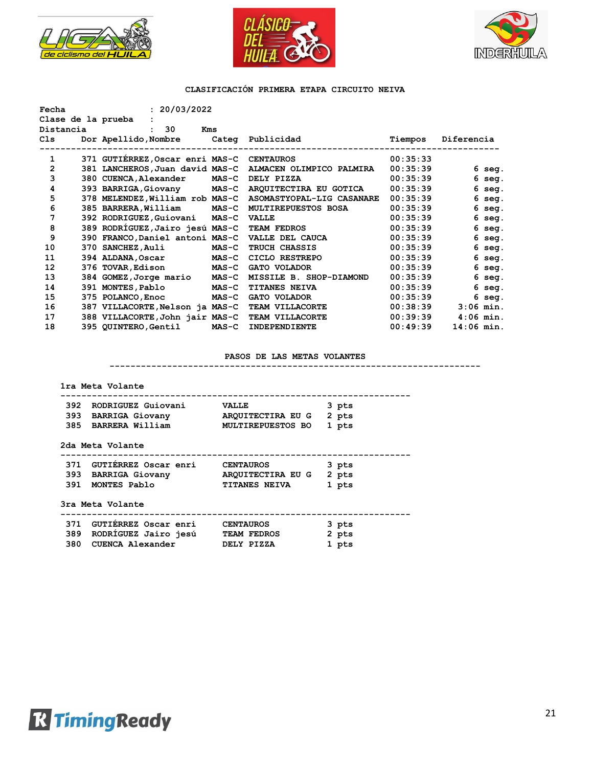





| Fecha              | : 20/03/2022                      |              |                            |          |              |
|--------------------|-----------------------------------|--------------|----------------------------|----------|--------------|
| Clase de la prueba |                                   |              |                            |          |              |
| Distancia          | 30<br>Kms<br>$\ddot{\phantom{a}}$ |              |                            |          |              |
| Cls                | Dor Apellido, Nombre              |              | Categ Publicidad           | Tiempos  | Diferencia   |
|                    |                                   |              |                            |          |              |
| 1                  | 371 GUTIÉRREZ, Oscar enri MAS-C   |              | <b>CENTAUROS</b>           | 00:35:33 |              |
| $\overline{2}$     | 381 LANCHEROS, Juan david MAS-C   |              | ALMACEN OLIMPICO PALMIRA   | 00:35:39 | 6 seg.       |
| 3                  | 380 CUENCA, Alexander             | <b>MAS-C</b> | DELY PIZZA                 | 00:35:39 | $6$ seg.     |
| 4                  | 393 BARRIGA, Giovany              | $MAS-C$      | AROUITECTIRA EU GOTICA     | 00:35:39 | $6$ seg.     |
| 5                  | 378 MELENDEZ, William rob MAS-C   |              | ASOMASTYOPAL-LIG CASANARE  | 00:35:39 | $6$ seg.     |
| 6                  | 385 BARRERA, William              | $MAS-C$      | <b>MULTIREPUESTOS BOSA</b> | 00:35:39 | 6 seg.       |
| 7                  | 392 RODRIGUEZ, Guiovani           | <b>MAS-C</b> | <b>VALLE</b>               | 00:35:39 | $6$ seq.     |
| 8                  | 389 RODRÍGUEZ,Jairo jesú MAS-C    |              | TEAM FEDROS                | 00:35:39 | $6$ seg.     |
| 9                  | 390 FRANCO, Daniel antoni MAS-C   |              | VALLE DEL CAUCA            | 00:35:39 | $6$ seg.     |
| 10                 | 370 SANCHEZ, Auli                 | $MAS-C$      | TRUCH CHASSIS              | 00:35:39 | $6$ seq.     |
| 11                 | 394 ALDANA, Oscar                 | $MAS-C$      | CICLO RESTREPO             | 00:35:39 | $6$ seg.     |
| 12                 | 376 TOVAR, Edison                 | $MAS-C$      | <b>GATO VOLADOR</b>        | 00:35:39 | $6$ seg.     |
| 13                 | 384 GOMEZ, Jorge mario            | $MAS-C$      | MISSILE B. SHOP-DIAMOND    | 00:35:39 | 6 seg.       |
| 14                 | 391 MONTES, Pablo                 | $MAS - C$    | <b>TITANES NEIVA</b>       | 00:35:39 | $6$ seq.     |
| 15                 | 375 POLANCO, Enoc                 | $MAS-C$      | <b>GATO VOLADOR</b>        | 00:35:39 | $6$ seq.     |
| 16                 | 387 VILLACORTE, Nelson ja MAS-C   |              | TEAM VILLACORTE            | 00:38:39 | $3:06$ min.  |
| 17                 | 388 VILLACORTE, John jair MAS-C   |              | TEAM VILLACORTE            | 00:39:39 | $4:06$ min.  |
| 18                 | 395 QUINTERO, Gentil              | $MAS-C$      | <b>INDEPENDIENTE</b>       | 00:49:39 | $14:06$ min. |

## **PASOS DE LAS METAS VOLANTES**

**-----------------------------------------------------------------------**

## **1ra Meta Volante**

| 392 | RODRIGUEZ Guiovani     | <b>VALLE</b>             | 3 pts         |
|-----|------------------------|--------------------------|---------------|
| 393 | <b>BARRIGA Giovany</b> | ARQUITECTIRA EU G        | 2 pts         |
| 385 | BARRERA William        | <b>MULTIREPUESTOS BO</b> | 1 pts         |
|     | 2da Meta Volante       |                          |               |
| 371 | GUTIÉRREZ Oscar enri   | <b>CENTAUROS</b>         | 3 pts         |
|     | --- ------- -:         | ------------ --- --      | $\sim$ $\sim$ |

|                  | 393 BARRIGA Giovany | ARQUITECTIRA EU G 2 pts |       |
|------------------|---------------------|-------------------------|-------|
| 391 MONTES Pablo |                     | <b>TITANES NEIVA</b>    | 1 pts |

## **3ra Meta Volante**

|  | 371 GUTIÉRREZ Oscar enri |  | <b>CENTAUROS</b> | 3 pts |
|--|--------------------------|--|------------------|-------|
|  | 389 RODRÍGUEZ Jairo jesú |  | TEAM FEDROS      | 2 pts |

| 369 RODRIGOEZ JAIRO JESU | ILAM FLURUS | z pus |
|--------------------------|-------------|-------|
| 380 CUENCA Alexander     | DELY PIZZA  | 1 pts |

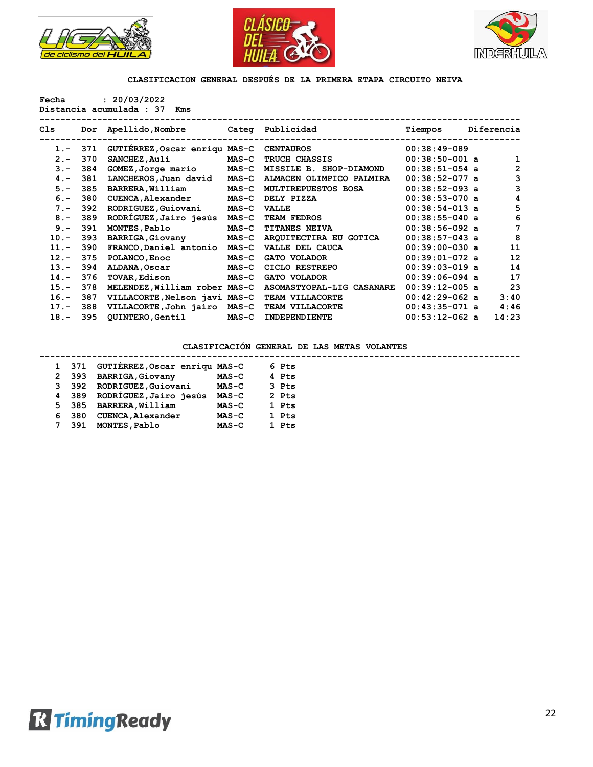





**Fecha : 20/03/2022**

**Distancia acumulada : 37 Kms** 

| Cls     | Dor | Apellido,Nombre               |              | Categ Publicidad           | Tiempos          | Diferencia |
|---------|-----|-------------------------------|--------------|----------------------------|------------------|------------|
| $1 -$   | 371 | GUTIERREZ, Oscar enriqu MAS-C |              | <b>CENTAUROS</b>           | $00:38:49-089$   |            |
| $2 -$   | 370 | SANCHEZ, Auli                 | $MAS-C$      | <b>TRUCH CHASSIS</b>       | $00:38:50-001$ a | 1          |
| $3 -$   | 384 | GOMEZ, Jorge mario            | <b>MAS-C</b> | MISSILE B. SHOP-DIAMOND    | $00:38:51-054$ a | 2          |
| $4 -$   | 381 | LANCHEROS, Juan david         | $MAS-C$      | ALMACEN OLIMPICO PALMIRA   | $00:38:52-077$ a | 3          |
| $5 -$   | 385 | BARRERA, William              | $MAS-C$      | <b>MULTIREPUESTOS BOSA</b> | $00:38:52-093$ a | 3          |
| $6. -$  | 380 | CUENCA, Alexander             | $MAS-C$      | DELY PIZZA                 | $00:38:53-070$ a | 4          |
| $7 -$   | 392 | RODRIGUEZ, Guiovani           | $MAS-C$      | <b>VALLE</b>               | $00:38:54-013$ a | 5          |
| $8 -$   | 389 | RODRIGUEZ, Jairo jesús        | $MAS-C$      | <b>TEAM FEDROS</b>         | $00:38:55-040$ a | 6          |
| $9 -$   | 391 | MONTES, Pablo                 | $MAS-C$      | <b>TITANES NEIVA</b>       | $00:38:56-092$ a | 7          |
| $10. -$ | 393 | BARRIGA, Giovany              | $MAS-C$      | ARQUITECTIRA EU GOTICA     | $00:38:57-043$ a | 8          |
| $11. -$ | 390 | FRANCO, Daniel antonio        | $MAS-C$      | VALLE DEL CAUCA            | $00:39:00-030$ a | 11         |
| $12 -$  | 375 | POLANCO, Enoc                 | $MAS-C$      | GATO VOLADOR               | $00:39:01-072$ a | 12         |
| $13 -$  | 394 | ALDANA, Oscar                 | $MAS-C$      | CICLO RESTREPO             | $00:39:03-019$ a | 14         |
| $14. -$ | 376 | <b>TOVAR, Edison</b>          | $MAS-C$      | <b>GATO VOLADOR</b>        | $00:39:06-094$ a | 17         |
| $15. -$ | 378 | MELENDEZ, William rober MAS-C |              | ASOMASTYOPAL-LIG CASANARE  | $00:39:12-005$ a | 23         |
| $16. -$ | 387 | VILLACORTE, Nelson javi MAS-C |              | TEAM VILLACORTE            | $00:42:29-062$ a | 3:40       |
| $17. -$ | 388 | VILLACORTE, John jairo        | <b>MAS-C</b> | TEAM VILLACORTE            | $00:43:35-071$ a | 4:46       |
| $18. -$ | 395 | <b>QUINTERO, Gentil</b>       | $MAS-C$      | INDEPENDIENTE              | $00:53:12-062$ a | 14:23      |

|  | 1 371 | GUTIERREZ,Oscar enriqu MAS-C |              | 6 Pts |  |
|--|-------|------------------------------|--------------|-------|--|
|  | 2 393 | <b>BARRIGA, Giovany</b>      | <b>MAS-C</b> | 4 Pts |  |
|  | 3 392 | RODRIGUEZ, Guiovani          | $MAS-C$      | 3 Pts |  |
|  | 4 389 | RODRÍGUEZ,Jairo jesús        | <b>MAS-C</b> | 2 Pts |  |
|  | 5 385 | BARRERA, William             | <b>MAS-C</b> | 1 Pts |  |
|  | 6 380 | CUENCA, Alexander            | $MAS-C$      | 1 Pts |  |
|  | 7 391 | MONTES, Pablo                | $MAS-C$      | 1 Pts |  |

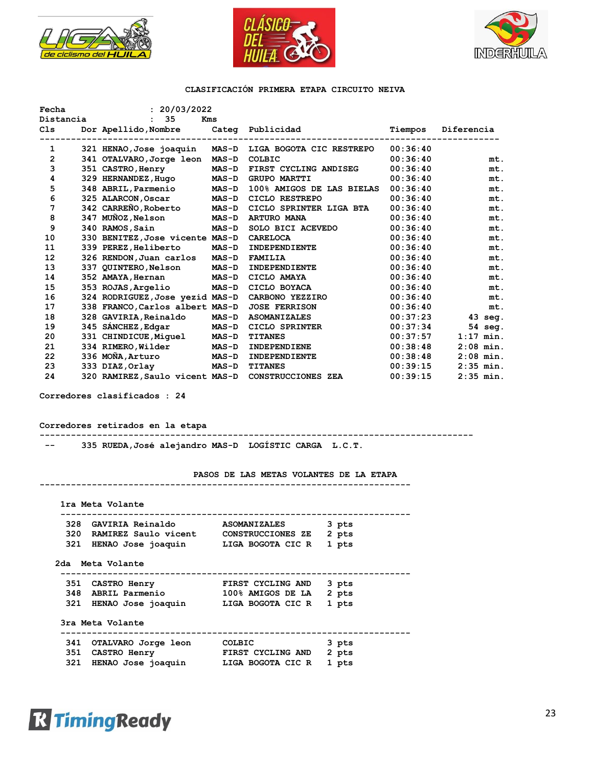





| Fecha<br>Distancia | : 20/03/2022<br>35              | Kms          |                           |          |             |
|--------------------|---------------------------------|--------------|---------------------------|----------|-------------|
| Cls                | Dor Apellido,Nombre             | Categ        | Publicidad                | Tiempos  | Diferencia  |
| 1                  | 321 HENAO, Jose joaquin         | <b>MAS-D</b> | LIGA BOGOTA CIC RESTREPO  | 00:36:40 |             |
| $\overline{2}$     | 341 OTALVARO, Jorge leon        | $MAS-D$      | COLBIC                    | 00:36:40 | mt.         |
| 3                  | 351 CASTRO, Henry               | $MAS-D$      | FIRST CYCLING ANDISEG     | 00:36:40 | mt.         |
| 4                  | 329 HERNANDEZ, Hugo             | $MAS - D$    | <b>GRUPO MARTTI</b>       | 00:36:40 | mt.         |
| 5                  | 348 ABRIL, Parmenio             | <b>MAS-D</b> | 100% AMIGOS DE LAS BIELAS | 00:36:40 | mt.         |
| 6                  | 325 ALARCON, Oscar              | <b>MAS-D</b> | CICLO RESTREPO            | 00:36:40 | mt.         |
| 7                  | 342 CARREÑO, Roberto            | <b>MAS-D</b> | CICLO SPRINTER LIGA BTA   | 00:36:40 | mt.         |
| 8                  | 347 MUÑOZ,Nelson                | <b>MAS-D</b> | <b>ARTURO MANA</b>        | 00:36:40 | mt.         |
| 9                  | 340 RAMOS, Sain                 | <b>MAS-D</b> | SOLO BICI ACEVEDO         | 00:36:40 | mt.         |
| 10                 | 330 BENITEZ, Jose vicente MAS-D |              | <b>CARELOCA</b>           | 00:36:40 | mt.         |
| 11                 | 339 PEREZ, Heliberto            | <b>MAS-D</b> | INDEPENDIENTE             | 00:36:40 | mt.         |
| 12                 | 326 RENDON, Juan carlos         | <b>MAS-D</b> | <b>FAMILIA</b>            | 00:36:40 | mt.         |
| 13                 | 337 QUINTERO,Nelson             | <b>MAS-D</b> | INDEPENDIENTE             | 00:36:40 | mt.         |
| 14                 | 352 AMAYA, Hernan               | <b>MAS-D</b> | CICLO AMAYA               | 00:36:40 | mt.         |
| 15                 | 353 ROJAS, Argelio              | <b>MAS-D</b> | CICLO BOYACA              | 00:36:40 | mt.         |
| 16                 | 324 RODRIGUEZ, Jose yezid MAS-D |              | <b>CARBONO YEZZIRO</b>    | 00:36:40 | mt.         |
| 17                 | 338 FRANCO, Carlos albert MAS-D |              | <b>JOSE FERRISON</b>      | 00:36:40 | mt.         |
| 18                 | 328 GAVIRIA, Reinaldo           | <b>MAS-D</b> | <b>ASOMANIZALES</b>       | 00:37:23 | $43$ seq.   |
| 19                 | 345 SÁNCHEZ, Edgar              | <b>MAS-D</b> | <b>CICLO SPRINTER</b>     | 00:37:34 | $54$ seq.   |
| 20                 | 331 CHINDICUE, Miquel           | <b>MAS-D</b> | <b>TITANES</b>            | 00:37:57 | $1:17$ min. |
| 21                 | 334 RIMERO, Wilder              | <b>MAS-D</b> | INDEPENDIENE              | 00:38:48 | $2:08$ min. |
| 22                 | 336 MOÑA, Arturo                | <b>MAS-D</b> | INDEPENDIENTE             | 00:38:48 | $2:08$ min. |
| 23                 | 333 DIAZ, Orlay                 | <b>MAS-D</b> | <b>TITANES</b>            | 00:39:15 | $2:35$ min. |
| 24                 | 320 RAMIREZ, Saulo vicent MAS-D |              | CONSTRUCCIONES ZEA        | 00:39:15 | $2:35$ min. |

**Corredores clasificados : 24**

**Corredores retirados en la etapa**

**-----------------------------------------------------------------------------------**

 **-- 335 RUEDA,José alejandro MAS-D LOGÍSTIC CARGA L.C.T.** 

#### **PASOS DE LAS METAS VOLANTES DE LA ETAPA -----------------------------------------------------------------------**

| 328 GAVIRIA Reinaldo                       | <b>ASOMANIZALES</b> | 3 pts |
|--------------------------------------------|---------------------|-------|
| 320 RAMIREZ Saulo vicent CONSTRUCCIONES ZE |                     | 2 pts |
| 321 HENAO Jose joaquin LIGA BOGOTA CIC R   |                     | 1 pts |
| 2da Meta Volante                           |                     |       |
| 351 CASTRO Henry                           | FIRST CYCLING AND   | 3 pts |
| 348 ABRIL Parmenio 100% AMIGOS DE LA       |                     | 2 pts |
| 321 HENAO Jose joaquin LIGA BOGOTA CIC R   |                     | 1 pts |
|                                            |                     |       |
| 3ra Meta Volante                           |                     |       |
| 341 OTALVARO Jorge leon COLBIC             |                     | 3 pts |
| 351 CASTRO Henry                           | FIRST CYCLING AND   | 2 pts |

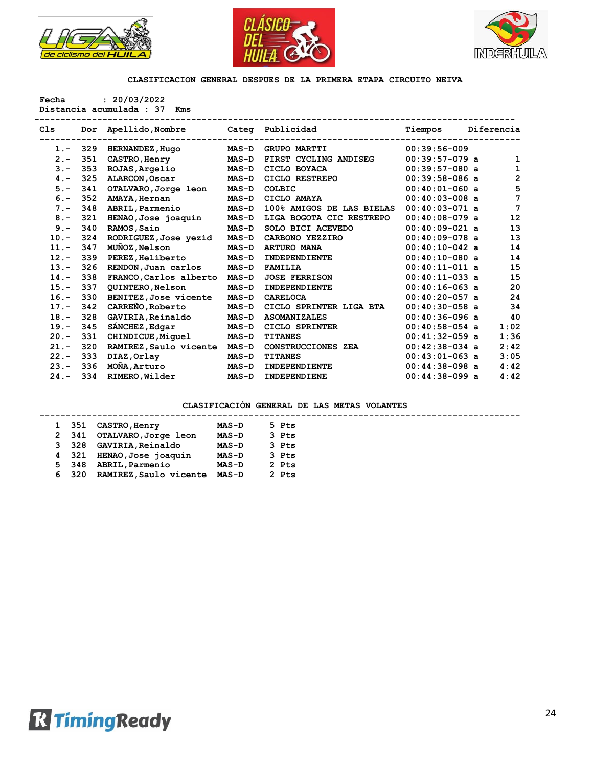





**Fecha : 20/03/2022 Distancia acumulada : 37 Kms** 

| C <sub>1s</sub> | Dor | Apellido, Nombre        |              | Categ Publicidad          | Tiempos          |  | Diferencia     |
|-----------------|-----|-------------------------|--------------|---------------------------|------------------|--|----------------|
| $1 -$           | 329 | HERNANDEZ, Hugo         | $MAS-D$      | <b>GRUPO MARTTI</b>       | $00:39:56-009$   |  |                |
| $2 -$           | 351 | CASTRO, Henry           | <b>MAS-D</b> | FIRST CYCLING ANDISEG     | $00:39:57-079$ a |  | 1              |
| $3 -$           | 353 | ROJAS, Argelio          | $MAS-D$      | CICLO BOYACA              | $00:39:57-080$ a |  | 1              |
| $4 -$           | 325 | ALARCON, Oscar          | <b>MAS-D</b> | CICLO RESTREPO            | $00:39:58-086$ a |  | $\overline{2}$ |
| $5. -$          | 341 | OTALVARO, Jorge leon    | $MAS-D$      | COLBIC                    | $00:40:01-060$ a |  | 5              |
| $6 -$           | 352 | AMAYA, Hernan           | $MAS-D$      | CICLO AMAYA               | $00:40:03-008$ a |  | 7              |
| $7 -$           | 348 | ABRIL, Parmenio         | $MAS-D$      | 100% AMIGOS DE LAS BIELAS | $00:40:03-071$ a |  | 7              |
| $8 -$           | 321 | HENAO, Jose joaquin     | <b>MAS-D</b> | LIGA BOGOTA CIC RESTREPO  | $00:40:08-079$ a |  | 12             |
| $9 -$           | 340 | RAMOS, Sain             | <b>MAS-D</b> | SOLO BICI ACEVEDO         | $00:40:09-021$ a |  | 13             |
| $10. -$         | 324 | RODRIGUEZ, Jose yezid   | <b>MAS-D</b> | CARBONO YEZZIRO           | $00:40:09-078$ a |  | 13             |
| $11. -$         | 347 | MUÑOZ, Nelson           | $MAS-D$      | <b>ARTURO MANA</b>        | $00:40:10-042$ a |  | 14             |
| $12 -$          | 339 | PEREZ, Heliberto        | $MAS-D$      | <b>INDEPENDIENTE</b>      | $00:40:10-080$ a |  | 14             |
| $13 -$          | 326 | RENDON, Juan carlos     | $MAS-D$      | <b>FAMILIA</b>            | $00:40:11-011$ a |  | 15             |
| $14. -$         | 338 | FRANCO, Carlos alberto  | <b>MAS-D</b> | <b>JOSE FERRISON</b>      | $00:40:11-033$ a |  | 15             |
| $15. -$         | 337 | <b>QUINTERO, Nelson</b> | $MAS-D$      | INDEPENDIENTE             | $00:40:16-063$ a |  | 20             |
| $16. -$         | 330 | BENITEZ, Jose vicente   | $MAS-D$      | <b>CARELOCA</b>           | $00:40:20-057$ a |  | 24             |
| $17. -$         | 342 | CARREÑO, Roberto        | $MAS-D$      | CICLO SPRINTER LIGA BTA   | $00:40:30-058$ a |  | 34             |
| $18. -$         | 328 | GAVIRIA, Reinaldo       | <b>MAS-D</b> | <b>ASOMANIZALES</b>       | $00:40:36-096$ a |  | 40             |
| $19. -$         | 345 | SÁNCHEZ, Edgar          | $MAS-D$      | CICLO SPRINTER            | $00:40:58-054$ a |  | 1:02           |
| $20 -$          | 331 | CHINDICUE, Miquel       | <b>MAS-D</b> | <b>TITANES</b>            | $00:41:32-059$ a |  | 1:36           |
| $21 -$          | 320 | RAMIREZ, Saulo vicente  | <b>MAS-D</b> | CONSTRUCCIONES ZEA        | $00:42:38-034$ a |  | 2:42           |
| $22 -$          | 333 | DIAZ, Orlay             | $MAS-D$      | <b>TITANES</b>            | $00:43:01-063$ a |  | 3:05           |
| $23 -$          | 336 | MOÑA, Arturo            | <b>MAS-D</b> | INDEPENDIENTE             | $00:44:38-098$ a |  | 4:42           |
| $24. -$         | 334 | RIMERO, Wilder          | $MAS-D$      | INDEPENDIENE              | $00:44:38-099$ a |  | 4:42           |
|                 |     |                         |              |                           |                  |  |                |

|  | 1 351 | <b>CASTRO, Henry</b>   | <b>MAS-D</b> | 5 Pts |  |
|--|-------|------------------------|--------------|-------|--|
|  | 2 341 | OTALVARO, Jorge leon   | <b>MAS-D</b> | 3 Pts |  |
|  | 3 328 | GAVIRIA, Reinaldo      | <b>MAS-D</b> | 3 Pts |  |
|  | 4 321 | HENAO,Jose joaquin     | <b>MAS-D</b> | 3 Pts |  |
|  | 5 348 | ABRIL, Parmenio        | <b>MAS-D</b> | 2 Pts |  |
|  | 6320  | RAMIREZ, Saulo vicente | <b>MAS-D</b> | 2 Pts |  |
|  |       |                        |              |       |  |

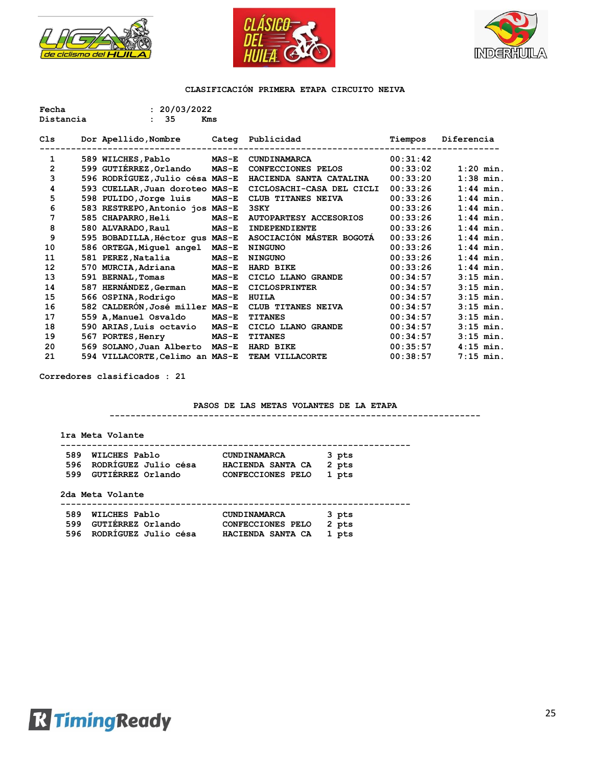





| Fecha          | : 20/03/2022                    |              |                               |          |             |
|----------------|---------------------------------|--------------|-------------------------------|----------|-------------|
| Distancia      | 35<br>$\mathbf{r}$              | Kms          |                               |          |             |
|                |                                 |              |                               |          |             |
| Cls            | Dor Apellido, Nombre            |              | Categ Publicidad              | Tiempos  | Diferencia  |
| 1              | 589 WILCHES, Pablo              | <b>MAS-E</b> | CUNDINAMARCA                  | 00:31:42 |             |
| $\overline{2}$ | 599 GUTIÉRREZ, Orlando          | $MAS-E$      | <b>CONFECCIONES PELOS</b>     | 00:33:02 | $1:20$ min. |
|                |                                 |              |                               |          |             |
| 3              | 596 RODRÍGUEZ, Julio césa MAS-E |              | HACIENDA SANTA CATALINA       | 00:33:20 | $1:38$ min. |
| 4              | 593 CUELLAR, Juan doroteo MAS-E |              | CICLOSACHI-CASA DEL CICLI     | 00:33:26 | $1:44$ min. |
| 5              | 598 PULIDO, Jorge luis          | $MAS-E$      | CLUB TITANES NEIVA            | 00:33:26 | $1:44$ min. |
| 6              | 583 RESTREPO, Antonio jos MAS-E |              | <b>3SKY</b>                   | 00:33:26 | $1:44$ min. |
| 7              | 585 CHAPARRO, Heli              | $MAS-E$      | <b>AUTOPARTESY ACCESORIOS</b> | 00:33:26 | $1:44$ min. |
| 8              | 580 ALVARADO, Raul              | $MAS-E$      | INDEPENDIENTE                 | 00:33:26 | $1:44$ min. |
| 9              | 595 BOBADILLA, Héctor qus MAS-E |              | ASOCIACIÓN MÁSTER BOGOTÁ      | 00:33:26 | $1:44$ min. |
| 10             | 586 ORTEGA, Miguel angel        | $MAS-E$      | <b>NINGUNO</b>                | 00:33:26 | $1:44$ min. |
| 11             | 581 PEREZ, Natalia              | $MAS-E$      | <b>NINGUNO</b>                | 00:33:26 | $1:44$ min. |
| 12             | 570 MURCIA, Adriana             | $MAS-E$      | HARD BIKE                     | 00:33:26 | $1:44$ min. |
| 13             | 591 BERNAL, Tomas               | $MAS-E$      | CICLO LLANO GRANDE            | 00:34:57 | $3:15$ min. |
| 14             | 587 HERNÁNDEZ, German           | <b>MAS-E</b> | <b>CICLOSPRINTER</b>          | 00:34:57 | $3:15$ min. |
| 15             | 566 OSPINA, Rodrigo             | $MAS-E$      | <b>HUILA</b>                  | 00:34:57 | $3:15$ min. |
| 16             | 582 CALDERÓN, José miller MAS-E |              | CLUB TITANES NEIVA            | 00:34:57 | $3:15$ min. |
| 17             | 559 A, Manuel Osvaldo           | $MAS-E$      | <b>TITANES</b>                | 00:34:57 | $3:15$ min. |
| 18             | 590 ARIAS, Luis octavio         | $MAS-E$      | CICLO LLANO GRANDE            | 00:34:57 | $3:15$ min. |
| 19             | 567 PORTES, Henry               | $MAS-E$      | <b>TITANES</b>                | 00:34:57 | $3:15$ min. |
| 20             | 569 SOLANO, Juan Alberto        | <b>MAS-E</b> | HARD BIKE                     | 00:35:57 | $4:15$ min. |
| 21             | 594 VILLACORTE, Celimo an MAS-E |              | TEAM VILLACORTE               | 00:38:57 | $7:15$ min. |

**Corredores clasificados : 21**

### **PASOS DE LAS METAS VOLANTES DE LA ETAPA**

**-----------------------------------------------------------------------**

| 589 | WILCHES Pablo        | <b>CUNDINAMARCA</b> | 3 pts |
|-----|----------------------|---------------------|-------|
| 596 | RODRÍGUEZ Julio césa | HACIENDA SANTA CA   | 2 pts |
| 599 | GUTIERREZ Orlando    | CONFECCIONES PELO   | 1 pts |
|     |                      |                     |       |
|     | 2da Meta Volante     |                     |       |
| 589 | WILCHES Pablo        | <b>CUNDINAMARCA</b> | 3 pts |
| 599 | GUTIERREZ Orlando    | CONFECCIONES PELO   | 2 pts |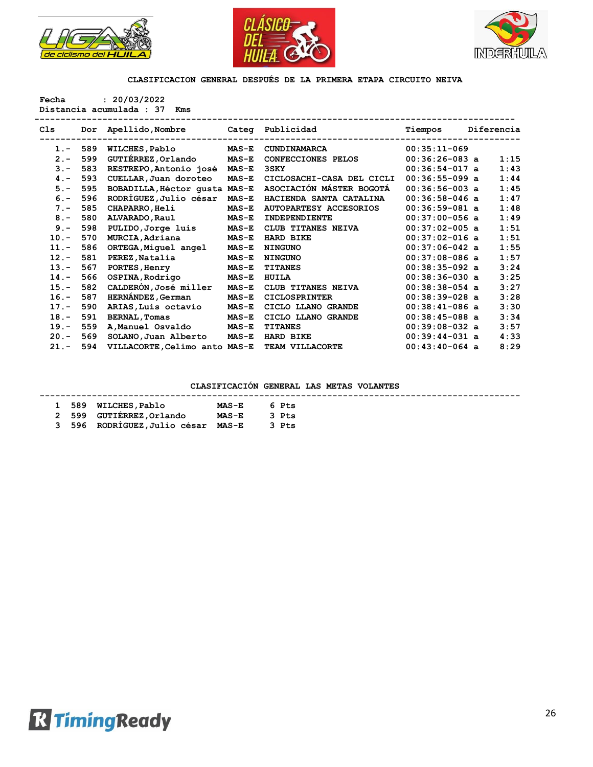





**Fecha : 20/03/2022 Distancia acumulada : 37 Kms** 

| C1s     | Dor | Apellido, Nombre              | Categ        | Publicidad                    | Tiempos          | Diferencia |      |
|---------|-----|-------------------------------|--------------|-------------------------------|------------------|------------|------|
| $1 -$   | 589 | <b>WILCHES, Pablo</b>         | $MAS-E$      | CUNDINAMARCA                  | $00:35:11-069$   |            |      |
| $2 -$   | 599 | GUTIÉRREZ, Orlando            | $MAS-E$      | CONFECCIONES PELOS            | $00:36:26-083$ a |            | 1:15 |
| $3 -$   | 583 | RESTREPO, Antonio josé        | $MAS-E$      | 3SKY                          | $00:36:54-017$ a |            | 1:43 |
| $4 -$   | 593 | CUELLAR, Juan doroteo         | $MAS-E$      | CICLOSACHI-CASA DEL CICLI     | $00:36:55-099$ a |            | 1:44 |
| $5. -$  | 595 | BOBADILLA, Héctor qusta MAS-E |              | ASOCIACIÓN MÁSTER BOGOTÁ      | $00:36:56-003$ a |            | 1:45 |
| $6 -$   | 596 | RODRÍGUEZ, Julio césar        | $MAS-E$      | HACIENDA SANTA CATALINA       | $00:36:58-046$ a |            | 1:47 |
| $7 -$   | 585 | <b>CHAPARRO, Heli</b>         | $MAS-E$      | <b>AUTOPARTESY ACCESORIOS</b> | $00:36:59-081$ a |            | 1:48 |
| $8 -$   | 580 | ALVARADO, Raul                | $MAS-E$      | <b>INDEPENDIENTE</b>          | $00:37:00-056$ a |            | 1:49 |
| $9 -$   | 598 | PULIDO, Jorge luis            | $MAS-E$      | CLUB TITANES NEIVA            | $00:37:02-005$ a |            | 1:51 |
| $10. -$ | 570 | MURCIA, Adriana               | $MAS-E$      | HARD BIKE                     | $00:37:02-016$ a |            | 1:51 |
| $11. -$ | 586 | ORTEGA, Miguel angel          | $MAS-E$      | <b>NINGUNO</b>                | $00:37:06-042$ a |            | 1:55 |
| $12 -$  | 581 | PEREZ, Natalia                | $MAS-E$      | <b>NINGUNO</b>                | $00:37:08-086$ a |            | 1:57 |
| $13 -$  | 567 | PORTES, Henry                 | $MAS-E$      | <b>TITANES</b>                | $00:38:35-092$ a |            | 3:24 |
| $14. -$ | 566 | OSPINA, Rodrigo               | $MAS-E$      | HUILA                         | $00:38:36-030$ a |            | 3:25 |
| $15. -$ | 582 | CALDERÓN, José miller         | $MAS-E$      | CLUB TITANES NEIVA            | $00:38:38-054$ a |            | 3:27 |
| $16. -$ | 587 | HERNÁNDEZ, German             | $MAS-E$      | <b>CICLOSPRINTER</b>          | $00:38:39-028$ a |            | 3:28 |
| $17. -$ | 590 | ARIAS, Luis octavio           | $MAS-E$      | CICLO LLANO GRANDE            | $00:38:41-086$ a |            | 3:30 |
| $18. -$ | 591 | <b>BERNAL, Tomas</b>          | $MAS-E$      | CICLO LLANO GRANDE            | $00:38:45-088$ a |            | 3:34 |
| $19. -$ | 559 | A, Manuel Osvaldo             | <b>MAS-E</b> | <b>TITANES</b>                | $00:39:08-032$ a |            | 3:57 |
| $20 -$  | 569 | SOLANO, Juan Alberto          | $MAS-E$      | HARD BIKE                     | $00:39:44-031$ a |            | 4:33 |
| $21 -$  | 594 | VILLACORTE, Celimo anto MAS-E |              | TEAM VILLACORTE               | $00:43:40-064$ a |            | 8:29 |
|         |     |                               |              |                               |                  |            |      |

|  | 1 589 WILCHES, Pablo               | $\texttt{MAS-E}$ | 6 Pts |
|--|------------------------------------|------------------|-------|
|  | 2 599 GUTIERREZ, Orlando           | <b>MAS-E</b>     | 3 Pts |
|  | 3 596 RODRÍGUEZ, Julio césar MAS-E |                  | 3 Pts |

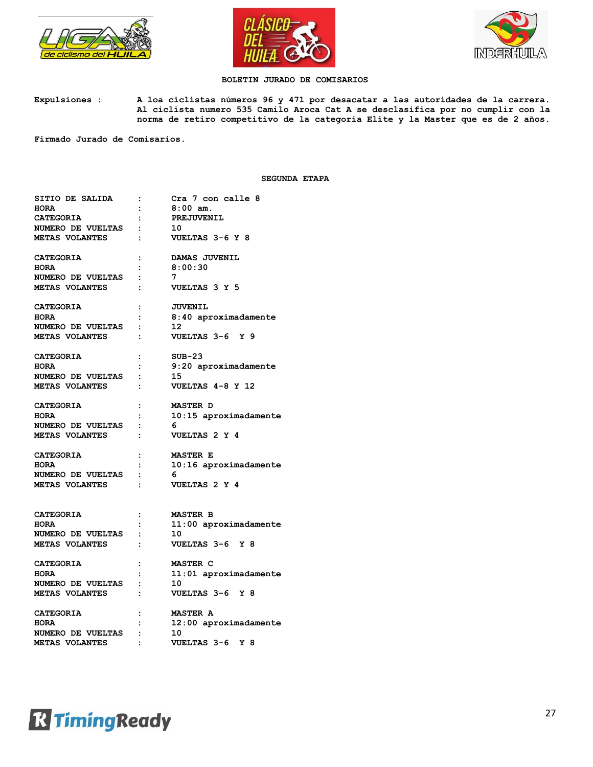





## **BOLETIN JURADO DE COMISARIOS**

**Expulsiones : A loa ciclistas números 96 y 471 por desacatar a las autoridades de la carrera. Al ciclista numero 535 Camilo Aroca Cat A se desclasifica por no cumplir con la norma de retiro competitivo de la categoría Elite y la Master que es de 2 años.**

**Firmado Jurado de Comisarios.**

#### **SEGUNDA ETAPA**

| SITIO DE SALIDA          | $\ddot{\cdot}$       | Cra 7 con calle 8       |
|--------------------------|----------------------|-------------------------|
| <b>HORA</b>              | $\mathbf{r}$         | $8:00$ am.              |
| CATEGORIA                | $\cdot$ :            | PREJUVENIL              |
| NUMERO DE VUELTAS :      |                      | 10                      |
| <b>METAS VOLANTES</b>    | $\ddot{\cdot}$       | VUELTAS 3-6 Y 8         |
| <b>CATEGORIA</b>         | $\ddot{\cdot}$       | DAMAS JUVENIL           |
| <b>HORA</b>              | $\ddot{\phantom{a}}$ | 8:00:30                 |
| NUMERO DE VUELTAS        | $\cdot$ :            | 7                       |
| METAS VOLANTES           | $\ddot{\cdot}$       | VUELTAS 3 Y 5           |
| <b>CATEGORIA</b>         | $\ddot{\cdot}$       | <b>JUVENIL</b>          |
| <b>HORA</b>              | $\ddot{\cdot}$       | 8:40 aproximadamente    |
| <b>NUMERO DE VUELTAS</b> | $\cdot$ :            | 12                      |
| METAS VOLANTES           | $\ddot{\cdot}$       | VUELTAS 3-6 Y 9         |
| <b>CATEGORIA</b>         | $\ddot{\cdot}$       | $SUB-23$                |
| <b>HORA</b>              | $\ddot{\cdot}$       | $9:20$ aproximadamente  |
| NUMERO DE VUELTAS        | $\cdot$ :            | 15                      |
| METAS VOLANTES           | $\ddot{\cdot}$       | VUELTAS 4-8 Y 12        |
| <b>CATEGORIA</b>         | $\ddot{\cdot}$       | <b>MASTER D</b>         |
| <b>HORA</b>              | $\ddot{\cdot}$       | $10:15$ aproximadamente |
| NUMERO DE VUELTAS        | $\ddot{\cdot}$       | 6                       |
| METAS VOLANTES           | $\ddot{\cdot}$       | VUELTAS 2 Y 4           |
| <b>CATEGORIA</b>         | $\ddot{\cdot}$       | <b>MASTER E</b>         |
| <b>HORA</b>              | $\ddot{\cdot}$       | $10:16$ aproximadamente |
| NUMERO DE VUELTAS :      |                      | 6                       |
| <b>METAS VOLANTES</b>    | $\ddot{\cdot}$       | VUELTAS 2 Y 4           |
| <b>CATEGORIA</b>         | $\mathbf{L}$         | <b>MASTER B</b>         |
| <b>HORA</b>              | $\ddot{\cdot}$       | $11:00$ aproximadamente |
| NUMERO DE VUELTAS        | $\cdot$ :            | 10                      |
| <b>METAS VOLANTES</b>    | $\cdot$ :            | VUELTAS 3-6 Y 8         |
|                          |                      |                         |
| <b>CATEGORIA</b>         | $\ddot{\cdot}$       | MASTER C                |
| <b>HORA</b>              | $\ddot{\cdot}$       | $11:01$ aproximadamente |
| NUMERO DE VUELTAS :      |                      | 10                      |
| <b>METAS VOLANTES</b>    | $\ddot{\cdot}$       | VUELTAS 3-6 Y 8         |
| <b>CATEGORIA</b>         |                      | <b>MASTER A</b>         |
| <b>HORA</b>              |                      | 12:00 aproximadamente   |
| NUMERO DE VUELTAS :      |                      | 10                      |
| METAS VOLANTES           | $\ddot{\cdot}$       | VUELTAS 3-6<br>Y 8      |